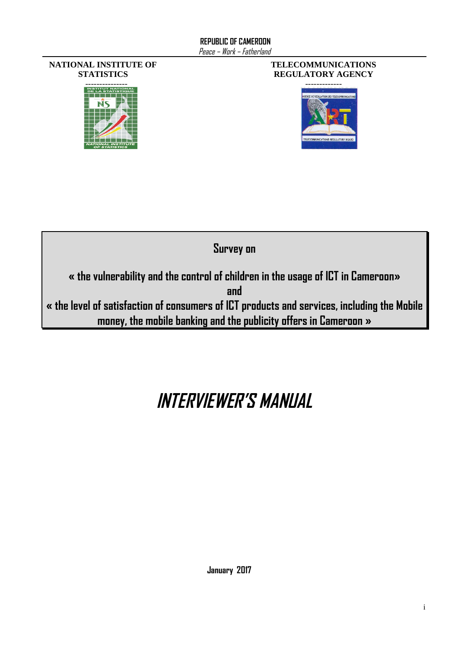#### **NATIONAL INSTITUTE OF STATISTICS**



#### **TELECOMMUNICATIONS REGULATORY AGENCY**





# **INTERVIEWER'S MANUAL**

**January 2017**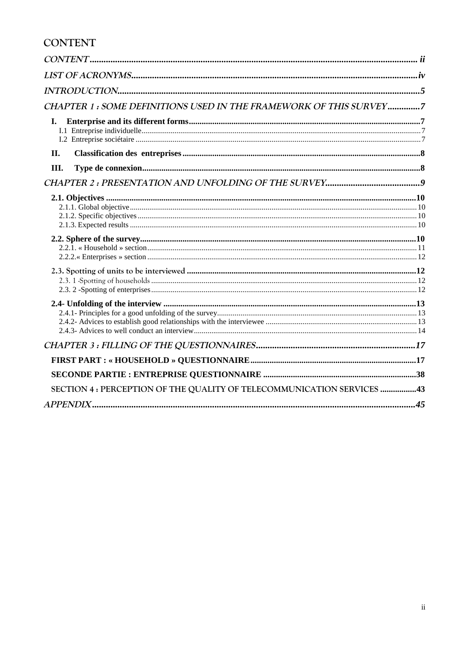### <span id="page-1-0"></span>**CONTENT**

| CHAPTER 1: SOME DEFINITIONS USED IN THE FRAMEWORK OF THIS SURVEY7      |  |
|------------------------------------------------------------------------|--|
| I.                                                                     |  |
| II.                                                                    |  |
| Ш.                                                                     |  |
|                                                                        |  |
|                                                                        |  |
|                                                                        |  |
|                                                                        |  |
|                                                                        |  |
|                                                                        |  |
|                                                                        |  |
|                                                                        |  |
| SECTION 4 : PERCEPTION OF THE QUALITY OF TELECOMMUNICATION SERVICES 43 |  |
|                                                                        |  |
|                                                                        |  |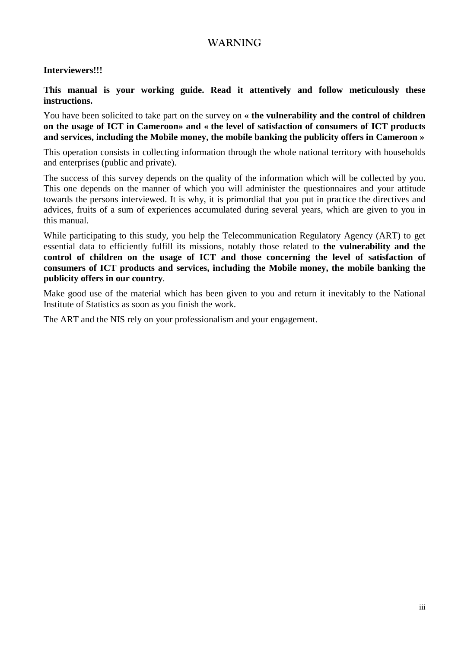### **WARNING**

#### **Interviewers!!!**

**This manual is your working guide. Read it attentively and follow meticulously these instructions.**

You have been solicited to take part on the survey on **« the vulnerability and the control of children on the usage of ICT in Cameroon» and « the level of satisfaction of consumers of ICT products and services, including the Mobile money, the mobile banking the publicity offers in Cameroon »**

This operation consists in collecting information through the whole national territory with households and enterprises (public and private).

The success of this survey depends on the quality of the information which will be collected by you. This one depends on the manner of which you will administer the questionnaires and your attitude towards the persons interviewed. It is why, it is primordial that you put in practice the directives and advices, fruits of a sum of experiences accumulated during several years, which are given to you in this manual.

While participating to this study, you help the Telecommunication Regulatory Agency (ART) to get essential data to efficiently fulfill its missions, notably those related to **the vulnerability and the control of children on the usage of ICT and those concerning the level of satisfaction of consumers of ICT products and services, including the Mobile money, the mobile banking the publicity offers in our country**.

Make good use of the material which has been given to you and return it inevitably to the National Institute of Statistics as soon as you finish the work.

The ART and the NIS rely on your professionalism and your engagement.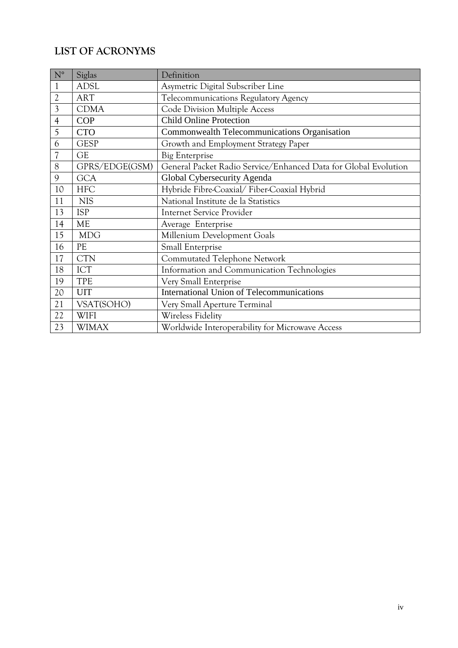### <span id="page-3-0"></span>**LIST OF ACRONYMS**

| $N^{\circ}$              | Siglas         | Definition                                                      |
|--------------------------|----------------|-----------------------------------------------------------------|
| 1                        | <b>ADSL</b>    | Asymetric Digital Subscriber Line                               |
| $\overline{2}$           | <b>ART</b>     | Telecommunications Regulatory Agency                            |
| $\overline{3}$           | <b>CDMA</b>    | Code Division Multiple Access                                   |
| $\overline{4}$           | <b>COP</b>     | <b>Child Online Protection</b>                                  |
| 5                        | <b>CTO</b>     | Commonwealth Telecommunications Organisation                    |
| 6                        | <b>GESP</b>    | Growth and Employment Strategy Paper                            |
| $\overline{\mathcal{U}}$ | <b>GE</b>      | <b>Big Enterprise</b>                                           |
| 8                        | GPRS/EDGE(GSM) | General Packet Radio Service/Enhanced Data for Global Evolution |
| 9                        | <b>GCA</b>     | Global Cybersecurity Agenda                                     |
| 10                       | <b>HFC</b>     | Hybride Fibre-Coaxial/Fiber-Coaxial Hybrid                      |
| 11                       | <b>NIS</b>     | National Institute de la Statistics                             |
| 13                       | <b>ISP</b>     | <b>Internet Service Provider</b>                                |
| 14                       | <b>ME</b>      | Average Enterprise                                              |
| 15                       | <b>MDG</b>     | Millenium Development Goals                                     |
| 16                       | PE             | Small Enterprise                                                |
| 17                       | <b>CTN</b>     | Commutated Telephone Network                                    |
| 18                       | <b>ICT</b>     | Information and Communication Technologies                      |
| 19                       | TPE            | Very Small Enterprise                                           |
| 20                       | <b>UIT</b>     | <b>International Union of Telecommunications</b>                |
| 21                       | VSAT(SOHO)     | Very Small Aperture Terminal                                    |
| 22                       | <b>WIFI</b>    | Wireless Fidelity                                               |
| 23                       | <b>WIMAX</b>   | Worldwide Interoperability for Microwave Access                 |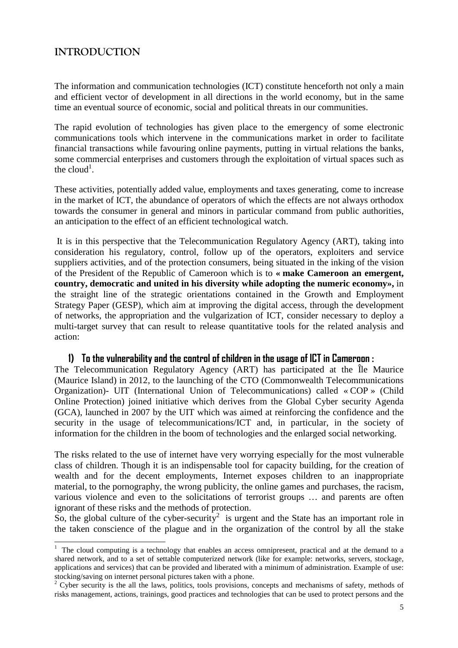### <span id="page-4-0"></span>**INTRODUCTION**

The information and communication technologies (ICT) constitute henceforth not only a main and efficient vector of development in all directions in the world economy, but in the same time an eventual source of economic, social and political threats in our communities.

The rapid evolution of technologies has given place to the emergency of some electronic communications tools which intervene in the communications market in order to facilitate financial transactions while favouring online payments, putting in virtual relations the banks, some commercial enterprises and customers through the exploitation of virtual spaces such as thecloud<sup>1</sup>.

These activities, potentially added value, employments and taxes generating, come to increase in the market of ICT, the abundance of operators of which the effects are not always orthodox towards the consumer in general and minors in particular command from public authorities, an anticipation to the effect of an efficient technological watch.

It is in this perspective that the Telecommunication Regulatory Agency (ART), taking into consideration his regulatory, control, follow up of the operators, exploiters and service suppliers activities, and of the protection consumers, being situated in the inking of the vision of the President of the Republic of Cameroon which is to **« make Cameroon an emergent, country, democratic and united in his diversity while adopting the numeric economy»,** in the straight line of the strategic orientations contained in the Growth and Employment Strategy Paper (GESP), which aim at improving the digital access, through the development of networks, the appropriation and the vulgarization of ICT, consider necessary to deploy a multi-target survey that can result to release quantitative tools for the related analysis and action:

#### **1) To the vulnerability and the control of children in the usage of ICT in Cameroon :**

The Telecommunication Regulatory Agency (ART) has participated at the Île Maurice (Maurice Island) in 2012, to the launching of the CTO (Commonwealth Telecommunications Organization)- UIT (International Union of Telecommunications) called « COP » (Child Online Protection) joined initiative which derives from the Global Cyber security Agenda (GCA), launched in 2007 by the UIT which was aimed at reinforcing the confidence and the security in the usage of telecommunications/ICT and, in particular, in the society of information for the children in the boom of technologies and the enlarged social networking.

The risks related to the use of internet have very worrying especially for the most vulnerable class of children. Though it is an indispensable tool for capacity building, for the creation of wealth and for the decent employments, Internet exposes children to an inappropriate material, to the pornography, the wrong publicity, the online games and purchases, the racism, various violence and even to the solicitations of terrorist groups … and parents are often ignorant of these risks and the methods of protection.

So, the global culture of the cyber-security<sup>[2](#page-4-2)</sup> is urgent and the State has an important role in the taken conscience of the plague and in the organization of the control by all the stake

<span id="page-4-1"></span><sup>&</sup>lt;sup>1</sup> The cloud computing is a technology that enables an access omnipresent, practical and at the demand to a shared network, and to a set of settable computerized network (like for example: networks, servers, stockage, applications and services) that can be provided and liberated with a minimum of administration. Example of use: stocking/saving on internet personal pictures taken with a phone.

<span id="page-4-2"></span><sup>&</sup>lt;sup>2</sup> Cyber security is the all the laws, politics, tools provisions, concepts and mechanisms of safety, methods of risks management, actions, trainings, good practices and technologies that can be used to protect persons and the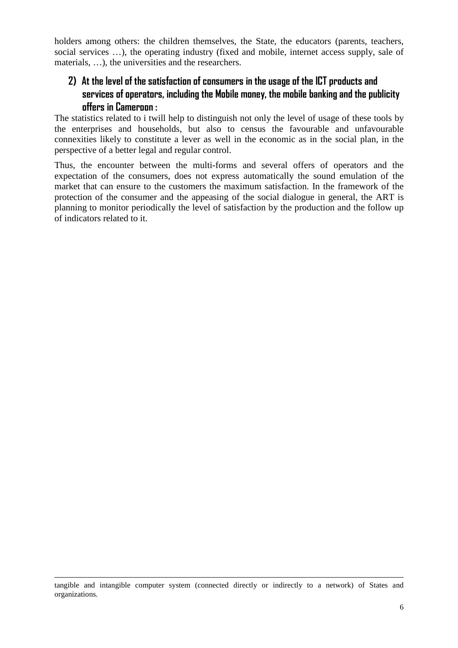holders among others: the children themselves, the State, the educators (parents, teachers, social services …), the operating industry (fixed and mobile, internet access supply, sale of materials, …), the universities and the researchers.

### **2) At the level of the satisfaction of consumers in the usage of the ICT products and services of operators, including the Mobile money, the mobile banking and the publicity offers in Cameroon :**

The statistics related to i twill help to distinguish not only the level of usage of these tools by the enterprises and households, but also to census the favourable and unfavourable connexities likely to constitute a lever as well in the economic as in the social plan, in the perspective of a better legal and regular control.

Thus, the encounter between the multi-forms and several offers of operators and the expectation of the consumers, does not express automatically the sound emulation of the market that can ensure to the customers the maximum satisfaction. In the framework of the protection of the consumer and the appeasing of the social dialogue in general, the ART is planning to monitor periodically the level of satisfaction by the production and the follow up of indicators related to it.

tangible and intangible computer system (connected directly or indirectly to a network) of States and organizations.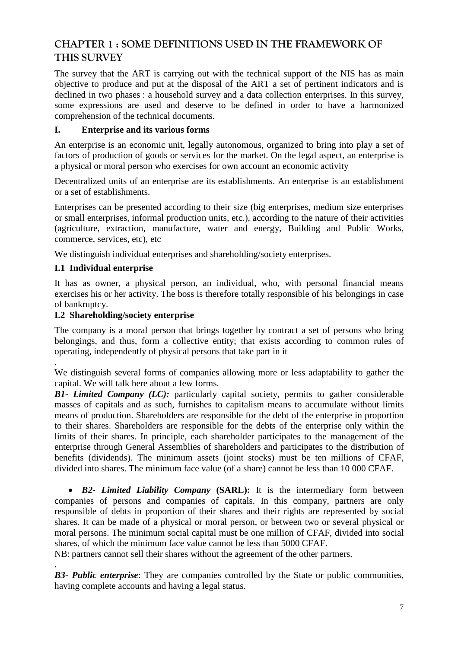### <span id="page-6-2"></span><span id="page-6-1"></span><span id="page-6-0"></span>**CHAPTER 1 : SOME DEFINITIONS USED IN THE FRAMEWORK OF THIS SURVEY**

The survey that the ART is carrying out with the technical support of the NIS has as main objective to produce and put at the disposal of the ART a set of pertinent indicators and is declined in two phases : a household survey and a data collection enterprises. In this survey, some expressions are used and deserve to be defined in order to have a harmonized comprehension of the technical documents.

#### **I. Enterprise and its various forms**

An enterprise is an economic unit, legally autonomous, organized to bring into play a set of factors of production of goods or services for the market. On the legal aspect, an enterprise is a physical or moral person who exercises for own account an economic activity

Decentralized units of an enterprise are its establishments. An enterprise is an establishment or a set of establishments.

Enterprises can be presented according to their size (big enterprises, medium size enterprises or small enterprises, informal production units, etc.), according to the nature of their activities (agriculture, extraction, manufacture, water and energy, Building and Public Works, commerce, services, etc), etc

We distinguish individual enterprises and shareholding/society enterprises.

#### **I.1 Individual enterprise**

.

.

It has as owner, a physical person, an individual, who, with personal financial means exercises his or her activity. The boss is therefore totally responsible of his belongings in case of bankruptcy.

#### **I.2 Shareholding/society enterprise**

The company is a moral person that brings together by contract a set of persons who bring belongings, and thus, form a collective entity; that exists according to common rules of operating, independently of physical persons that take part in it

We distinguish several forms of companies allowing more or less adaptability to gather the capital. We will talk here about a few forms.

*B1- Limited Company (LC):* particularly capital society, permits to gather considerable masses of capitals and as such, furnishes to capitalism means to accumulate without limits means of production. Shareholders are responsible for the debt of the enterprise in proportion to their shares. Shareholders are responsible for the debts of the enterprise only within the limits of their shares. In principle, each shareholder participates to the management of the enterprise through General Assemblies of shareholders and participates to the distribution of benefits (dividends). The minimum assets (joint stocks) must be ten millions of CFAF, divided into shares. The minimum face value (of a share) cannot be less than 10 000 CFAF.

 *B2***-** *Limited Liability Company* **(SARL):** It is the intermediary form between companies of persons and companies of capitals. In this company, partners are only responsible of debts in proportion of their shares and their rights are represented by social shares. It can be made of a physical or moral person, or between two or several physical or moral persons. The minimum social capital must be one million of CFAF, divided into social shares, of which the minimum face value cannot be less than 5000 CFAF.

NB: partners cannot sell their shares without the agreement of the other partners.

*B3- Public enterprise*: They are companies controlled by the State or public communities, having complete accounts and having a legal status.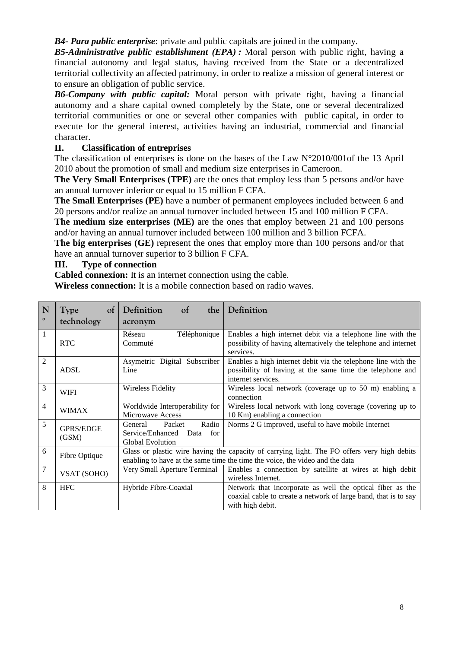<span id="page-7-0"></span>*B4- Para public enterprise*: private and public capitals are joined in the company.

*B5-Administrative public establishment (EPA) :* Moral person with public right, having a financial autonomy and legal status, having received from the State or a decentralized territorial collectivity an affected patrimony, in order to realize a mission of general interest or to ensure an obligation of public service.

*B6-Company with public capital:* Moral person with private right, having a financial autonomy and a share capital owned completely by the State, one or several decentralized territorial communities or one or several other companies with public capital, in order to execute for the general interest, activities having an industrial, commercial and financial character.

#### **II. Classification of entreprises**

The classification of enterprises is done on the bases of the Law N°2010/001of the 13 April 2010 about the promotion of small and medium size enterprises in Cameroon.

**The Very Small Enterprises (TPE)** are the ones that employ less than 5 persons and/or have an annual turnover inferior or equal to 15 million F CFA.

**The Small Enterprises (PE)** have a number of permanent employees included between 6 and 20 persons and/or realize an annual turnover included between 15 and 100 million F CFA.

**The medium size enterprises (ME)** are the ones that employ between 21 and 100 persons and/or having an annual turnover included between 100 million and 3 billion FCFA.

**The big enterprises (GE)** represent the ones that employ more than 100 persons and/or that have an annual turnover superior to 3 billion F CFA.

#### **III. Type of connection**

**Cabled connexion:** It is an internet connection using the cable.

**Wireless connection:** It is a mobile connection based on radio waves.

| N              | of<br><b>Type</b>         | Definition<br><sub>ot</sub><br>the                                                              | Definition                                                                                                                                                                  |
|----------------|---------------------------|-------------------------------------------------------------------------------------------------|-----------------------------------------------------------------------------------------------------------------------------------------------------------------------------|
| $\circ$        | technology                | acronym                                                                                         |                                                                                                                                                                             |
| 1              | <b>RTC</b>                | Téléphonique<br>Réseau<br>Commuté                                                               | Enables a high internet debit via a telephone line with the<br>possibility of having alternatively the telephone and internet<br>services.                                  |
| $\overline{2}$ | <b>ADSL</b>               | Asymetric Digital Subscriber<br>Line                                                            | Enables a high internet debit via the telephone line with the<br>possibility of having at the same time the telephone and<br>internet services.                             |
| 3              | <b>WIFI</b>               | <b>Wireless Fidelity</b>                                                                        | Wireless local network (coverage up to 50 m) enabling a<br>connection                                                                                                       |
| 4              | <b>WIMAX</b>              | Worldwide Interoperability for<br>Microwave Access                                              | Wireless local network with long coverage (covering up to<br>10 Km) enabling a connection                                                                                   |
| 5              | <b>GPRS/EDGE</b><br>(GSM) | Radio<br>Packet<br><b>General</b><br>Service/Enhanced<br>for<br>Data<br><b>Global Evolution</b> | Norms 2 G improved, useful to have mobile Internet                                                                                                                          |
| 6              | Fibre Optique             |                                                                                                 | Glass or plastic wire having the capacity of carrying light. The FO offers very high debits<br>enabling to have at the same time the time the voice, the video and the data |
| 7              | VSAT (SOHO)               | Very Small Aperture Terminal                                                                    | Enables a connection by satellite at wires at high debit<br>wireless Internet.                                                                                              |
| 8              | <b>HFC</b>                | Hybride Fibre-Coaxial                                                                           | Network that incorporate as well the optical fiber as the<br>coaxial cable to create a network of large band, that is to say<br>with high debit.                            |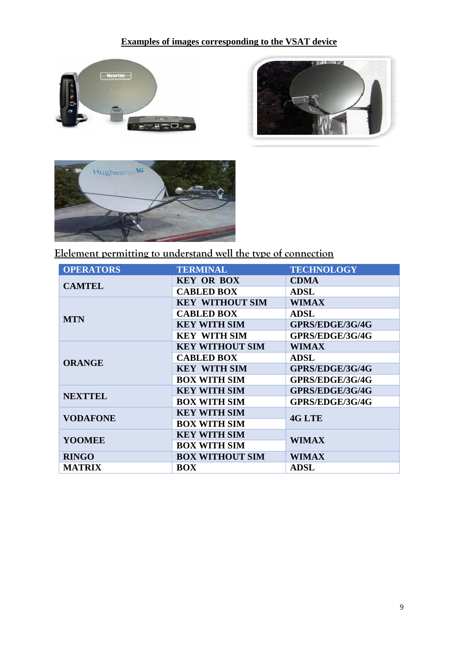### <span id="page-8-0"></span>**Examples of images corresponding to the VSAT device**







**Elelement permitting to understand well the type of connection**

| <b>OPERATORS</b> | <b>TERMINAL</b>        | <b>TECHNOLOGY</b> |
|------------------|------------------------|-------------------|
| <b>CAMTEL</b>    | <b>KEY OR BOX</b>      | <b>CDMA</b>       |
|                  | <b>CABLED BOX</b>      | <b>ADSL</b>       |
|                  | <b>KEY WITHOUT SIM</b> | <b>WIMAX</b>      |
| <b>MTN</b>       | <b>CABLED BOX</b>      | <b>ADSL</b>       |
|                  | <b>KEY WITH SIM</b>    | GPRS/EDGE/3G/4G   |
|                  | <b>KEY WITH SIM</b>    | GPRS/EDGE/3G/4G   |
|                  | <b>KEY WITHOUT SIM</b> | <b>WIMAX</b>      |
| <b>ORANGE</b>    | <b>CABLED BOX</b>      | <b>ADSL</b>       |
|                  | <b>KEY WITH SIM</b>    | GPRS/EDGE/3G/4G   |
|                  | <b>BOX WITH SIM</b>    | GPRS/EDGE/3G/4G   |
| <b>NEXTTEL</b>   | <b>KEY WITH SIM</b>    | GPRS/EDGE/3G/4G   |
|                  | <b>BOX WITH SIM</b>    | GPRS/EDGE/3G/4G   |
| <b>VODAFONE</b>  | <b>KEY WITH SIM</b>    | 4G LTE            |
|                  | <b>BOX WITH SIM</b>    |                   |
|                  | <b>KEY WITH SIM</b>    |                   |
| <b>YOOMEE</b>    | <b>BOX WITH SIM</b>    | <b>WIMAX</b>      |
| <b>RINGO</b>     | <b>BOX WITHOUT SIM</b> | <b>WIMAX</b>      |
| <b>MATRIX</b>    | <b>BOX</b>             | <b>ADSL</b>       |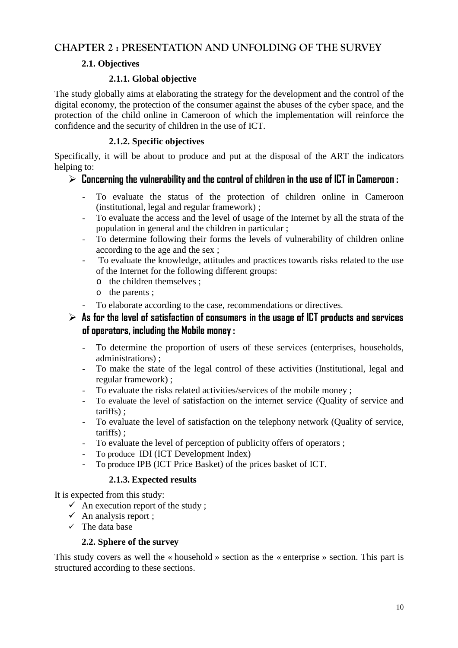### **CHAPTER 2 : PRESENTATION AND UNFOLDING OF THE SURVEY**

#### <span id="page-9-1"></span><span id="page-9-0"></span>**2.1. Objectives**

#### **2.1.1. Global objective**

The study globally aims at elaborating the strategy for the development and the control of the digital economy, the protection of the consumer against the abuses of the cyber space, and the protection of the child online in Cameroon of which the implementation will reinforce the confidence and the security of children in the use of ICT.

#### **2.1.2. Specific objectives**

Specifically, it will be about to produce and put at the disposal of the ART the indicators helping to:

### **Concerning the vulnerability and the control of children in the use of ICT in Cameroon :**

- To evaluate the status of the protection of children online in Cameroon (institutional, legal and regular framework) ;
- To evaluate the access and the level of usage of the Internet by all the strata of the population in general and the children in particular ;
- To determine following their forms the levels of vulnerability of children online according to the age and the sex ;
- To evaluate the knowledge, attitudes and practices towards risks related to the use of the Internet for the following different groups:
	- o the children themselves ;
	- o the parents ;
- To elaborate according to the case, recommendations or directives.

### $\triangleright$  As for the level of satisfaction of consumers in the usage of ICT products and services **of operators, including the Mobile money :**

- To determine the proportion of users of these services (enterprises, households, administrations) ;
- To make the state of the legal control of these activities (Institutional, legal and regular framework) ;
- To evaluate the risks related activities/services of the mobile money ;
- To evaluate the level of satisfaction on the internet service (Quality of service and tariffs) ;
- To evaluate the level of satisfaction on the telephony network (Quality of service, tariffs) ;
- To evaluate the level of perception of publicity offers of operators ;
- To produce IDI (ICT Development Index)
- To produce IPB (ICT Price Basket) of the prices basket of ICT.

### **2.1.3. Expected results**

It is expected from this study:

- $\checkmark$  An execution report of the study ;
- $\checkmark$  An analysis report ;
- $\checkmark$  The data base

#### **2.2. Sphere of the survey**

This study covers as well the « household » section as the « enterprise » section. This part is structured according to these sections.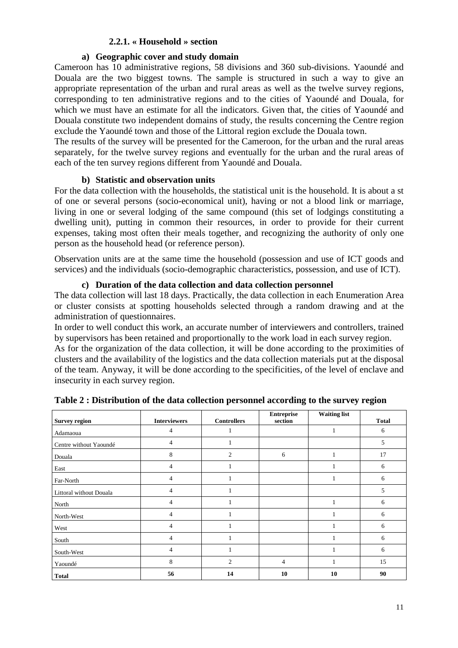#### <span id="page-10-0"></span>**2.2.1. « Household » section**

#### **a) Geographic cover and study domain**

Cameroon has 10 administrative regions, 58 divisions and 360 sub-divisions. Yaoundé and Douala are the two biggest towns. The sample is structured in such a way to give an appropriate representation of the urban and rural areas as well as the twelve survey regions, corresponding to ten administrative regions and to the cities of Yaoundé and Douala, for which we must have an estimate for all the indicators. Given that, the cities of Yaoundé and Douala constitute two independent domains of study, the results concerning the Centre region exclude the Yaoundé town and those of the Littoral region exclude the Douala town.

The results of the survey will be presented for the Cameroon, for the urban and the rural areas separately, for the twelve survey regions and eventually for the urban and the rural areas of each of the ten survey regions different from Yaoundé and Douala.

#### **b) Statistic and observation units**

For the data collection with the households, the statistical unit is the household. It is about a st of one or several persons (socio-economical unit), having or not a blood link or marriage, living in one or several lodging of the same compound (this set of lodgings constituting a dwelling unit), putting in common their resources, in order to provide for their current expenses, taking most often their meals together, and recognizing the authority of only one person as the household head (or reference person).

Observation units are at the same time the household (possession and use of ICT goods and services) and the individuals (socio-demographic characteristics, possession, and use of ICT).

#### **c) Duration of the data collection and data collection personnel**

The data collection will last 18 days. Practically, the data collection in each Enumeration Area or cluster consists at spotting households selected through a random drawing and at the administration of questionnaires.

In order to well conduct this work, an accurate number of interviewers and controllers, trained by supervisors has been retained and proportionally to the work load in each survey region.

As for the organization of the data collection, it will be done according to the proximities of clusters and the availability of the logistics and the data collection materials put at the disposal of the team. Anyway, it will be done according to the specificities, of the level of enclave and insecurity in each survey region.

| <b>Survey region</b>    | <b>Interviewers</b> | <b>Controllers</b> | <b>Entreprise</b><br>section | <b>Waiting list</b> | <b>Total</b> |
|-------------------------|---------------------|--------------------|------------------------------|---------------------|--------------|
| Adamaoua                | 4                   |                    |                              |                     | 6            |
| Centre without Yaoundé  | 4                   |                    |                              |                     | 5            |
| Douala                  | 8                   | $\overline{2}$     | 6                            |                     | 17           |
| East                    | 4                   |                    |                              |                     | 6            |
| Far-North               | 4                   |                    |                              |                     | 6            |
| Littoral without Douala | 4                   |                    |                              |                     | 5            |
| North                   | 4                   | $\mathbf{1}$       |                              | 1                   | 6            |
| North-West              | 4                   |                    |                              |                     | 6            |
| West                    | 4                   |                    |                              |                     | 6            |
| South                   | 4                   |                    |                              |                     | 6            |
| South-West              | 4                   |                    |                              | Ι.                  | 6            |
| Yaoundé                 | 8                   | $\overline{2}$     | $\overline{4}$               |                     | 15           |
| <b>Total</b>            | 56                  | 14                 | 10                           | 10                  | 90           |

**Table 2 : Distribution of the data collection personnel according to the survey region**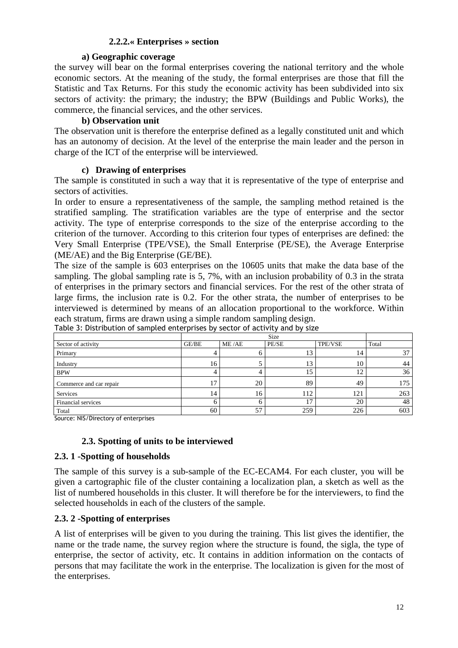#### <span id="page-11-0"></span>**2.2.2.« Enterprises » section**

#### <span id="page-11-1"></span>**a) Geographic coverage**

<span id="page-11-3"></span><span id="page-11-2"></span>the survey will bear on the formal enterprises covering the national territory and the whole economic sectors. At the meaning of the study, the formal enterprises are those that fill the Statistic and Tax Returns. For this study the economic activity has been subdivided into six sectors of activity: the primary; the industry; the BPW (Buildings and Public Works), the commerce, the financial services, and the other services.

#### **b) Observation unit**

The observation unit is therefore the enterprise defined as a legally constituted unit and which has an autonomy of decision. At the level of the enterprise the main leader and the person in charge of the ICT of the enterprise will be interviewed.

#### **c) Drawing of enterprises**

The sample is constituted in such a way that it is representative of the type of enterprise and sectors of activities.

In order to ensure a representativeness of the sample, the sampling method retained is the stratified sampling. The stratification variables are the type of enterprise and the sector activity. The type of enterprise corresponds to the size of the enterprise according to the criterion of the turnover. According to this criterion four types of enterprises are defined: the Very Small Enterprise (TPE/VSE), the Small Enterprise (PE/SE), the Average Enterprise (ME/AE) and the Big Enterprise (GE/BE).

The size of the sample is 603 enterprises on the 10605 units that make the data base of the sampling. The global sampling rate is 5, 7%, with an inclusion probability of 0.3 in the strata of enterprises in the primary sectors and financial services. For the rest of the other strata of large firms, the inclusion rate is 0.2. For the other strata, the number of enterprises to be interviewed is determined by means of an allocation proportional to the workforce. Within each stratum, firms are drawn using a simple random sampling design.

| Sector of activity      | GE/BE | ME/AE | PE/SE          | <b>TPE/VSE</b> | Total |
|-------------------------|-------|-------|----------------|----------------|-------|
| Primary                 |       |       | 13             | 14             | 37    |
| Industry                | 16    |       | 13             | 10             | 44    |
| <b>BPW</b>              |       |       | 15             | 12             | 36    |
| Commerce and car repair | 17    | 20    | 89             | 49             | 175   |
| Services                | 14    | 16    | 112            | 121            | 263   |
| Financial services      |       |       | 1 <sub>7</sub> | 20             | 48    |
| Total                   | 60    | 57    | 259            | 226            | 603   |

Table 3: Distribution of sampled enterprises by sector of activity and by size

Source: NIS/Directory of enterprises

#### **2.3. Spotting of units to be interviewed**

#### **2.3. 1 -Spotting of households**

The sample of this survey is a sub-sample of the EC-ECAM4. For each cluster, you will be given a cartographic file of the cluster containing a localization plan, a sketch as well as the list of numbered households in this cluster. It will therefore be for the interviewers, to find the selected households in each of the clusters of the sample.

#### **2.3. 2 -Spotting of enterprises**

A list of enterprises will be given to you during the training. This list gives the identifier, the name or the trade name, the survey region where the structure is found, the sigla, the type of enterprise, the sector of activity, etc. It contains in addition information on the contacts of persons that may facilitate the work in the enterprise. The localization is given for the most of the enterprises.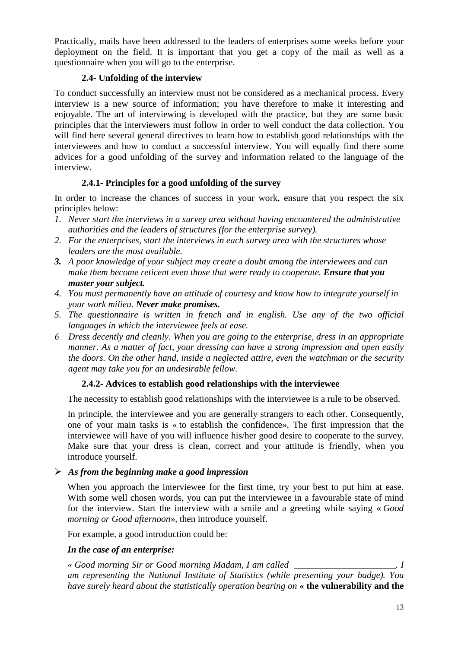<span id="page-12-1"></span><span id="page-12-0"></span>Practically, mails have been addressed to the leaders of enterprises some weeks before your deployment on the field. It is important that you get a copy of the mail as well as a questionnaire when you will go to the enterprise.

#### **2.4- Unfolding of the interview**

To conduct successfully an interview must not be considered as a mechanical process. Every interview is a new source of information; you have therefore to make it interesting and enjoyable. The art of interviewing is developed with the practice, but they are some basic principles that the interviewers must follow in order to well conduct the data collection. You will find here several general directives to learn how to establish good relationships with the interviewees and how to conduct a successful interview. You will equally find there some advices for a good unfolding of the survey and information related to the language of the interview.

#### **2.4.1- Principles for a good unfolding of the survey**

In order to increase the chances of success in your work, ensure that you respect the six principles below:

- *1. Never start the interviews in a survey area without having encountered the administrative authorities and the leaders of structures (for the enterprise survey).*
- *2. For the enterprises, start the interviews in each survey area with the structures whose leaders are the most available.*
- *3. A poor knowledge of your subject may create a doubt among the interviewees and can make them become reticent even those that were ready to cooperate. Ensure that you master your subject.*
- *4. You must permanently have an attitude of courtesy and know how to integrate yourself in your work milieu. Never make promises.*
- *5. The questionnaire is written in french and in english. Use any of the two official languages in which the interviewee feels at ease.*
- *6. Dress decently and cleanly. When you are going to the enterprise, dress in an appropriate manner. As a matter of fact, your dressing can have a strong impression and open easily the doors. On the other hand, inside a neglected attire, even the watchman or the security agent may take you for an undesirable fellow.*

#### **2.4.2- Advices to establish good relationships with the interviewee**

The necessity to establish good relationships with the interviewee is a rule to be observed.

In principle, the interviewee and you are generally strangers to each other. Consequently, one of your main tasks is « to establish the confidence». The first impression that the interviewee will have of you will influence his/her good desire to cooperate to the survey. Make sure that your dress is clean, correct and your attitude is friendly, when you introduce yourself.

#### *As from the beginning make a good impression*

When you approach the interviewee for the first time, try your best to put him at ease. With some well chosen words, you can put the interviewee in a favourable state of mind for the interview. Start the interview with a smile and a greeting while saying « *Good morning or Good afternoon*», then introduce yourself.

For example, a good introduction could be:

#### *In the case of an enterprise:*

*« Good morning Sir or Good morning Madam, I am called \_\_\_\_\_\_\_\_\_\_\_\_\_\_\_\_\_\_\_\_\_\_. I am representing the National Institute of Statistics (while presenting your badge). You have surely heard about the statistically operation bearing on* **« the vulnerability and the**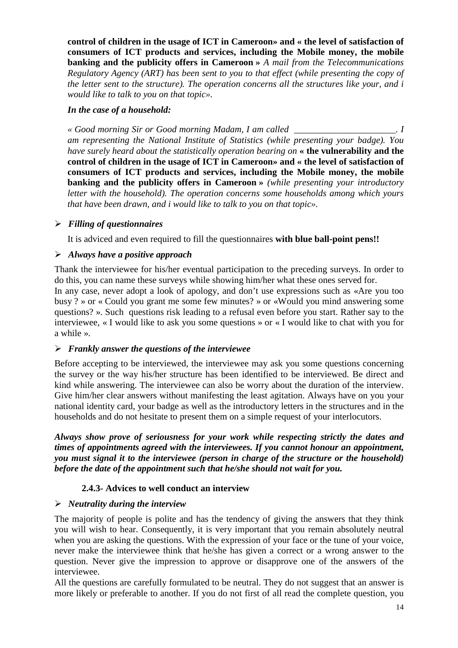<span id="page-13-0"></span>**control of children in the usage of ICT in Cameroon» and « the level of satisfaction of consumers of ICT products and services, including the Mobile money, the mobile banking and the publicity offers in Cameroon »** *A mail from the Telecommunications Regulatory Agency (ART) has been sent to you to that effect (while presenting the copy of the letter sent to the structure). The operation concerns all the structures like your, and i would like to talk to you on that topic».*

#### *In the case of a household:*

*« Good morning Sir or Good morning Madam, I am called \_\_\_\_\_\_\_\_\_\_\_\_\_\_\_\_\_\_\_\_\_\_. I am representing the National Institute of Statistics (while presenting your badge). You have surely heard about the statistically operation bearing on* **« the vulnerability and the control of children in the usage of ICT in Cameroon» and « the level of satisfaction of consumers of ICT products and services, including the Mobile money, the mobile banking and the publicity offers in Cameroon »** *(while presenting your introductory letter with the household). The operation concerns some households among which yours that have been drawn, and i would like to talk to you on that topic».*

#### *Filling of questionnaires*

It is adviced and even required to fill the questionnaires **with blue ball-point pens!!**

#### *Always have a positive approach*

Thank the interviewee for his/her eventual participation to the preceding surveys. In order to do this, you can name these surveys while showing him/her what these ones served for.

In any case, never adopt a look of apology, and don't use expressions such as «Are you too busy ? » or « Could you grant me some few minutes? » or «Would you mind answering some questions? ». Such questions risk leading to a refusal even before you start. Rather say to the interviewee, « I would like to ask you some questions » or « I would like to chat with you for a while ».

#### *Frankly answer the questions of the interviewee*

Before accepting to be interviewed, the interviewee may ask you some questions concerning the survey or the way his/her structure has been identified to be interviewed. Be direct and kind while answering. The interviewee can also be worry about the duration of the interview. Give him/her clear answers without manifesting the least agitation. Always have on you your national identity card, your badge as well as the introductory letters in the structures and in the households and do not hesitate to present them on a simple request of your interlocutors.

*Always show prove of seriousness for your work while respecting strictly the dates and times of appointments agreed with the interviewees. If you cannot honour an appointment, you must signal it to the interviewee (person in charge of the structure or the household) before the date of the appointment such that he/she should not wait for you.*

#### **2.4.3- Advices to well conduct an interview**

#### *Neutrality during the interview*

The majority of people is polite and has the tendency of giving the answers that they think you will wish to hear. Consequently, it is very important that you remain absolutely neutral when you are asking the questions. With the expression of your face or the tune of your voice, never make the interviewee think that he/she has given a correct or a wrong answer to the question. Never give the impression to approve or disapprove one of the answers of the interviewee.

All the questions are carefully formulated to be neutral. They do not suggest that an answer is more likely or preferable to another. If you do not first of all read the complete question, you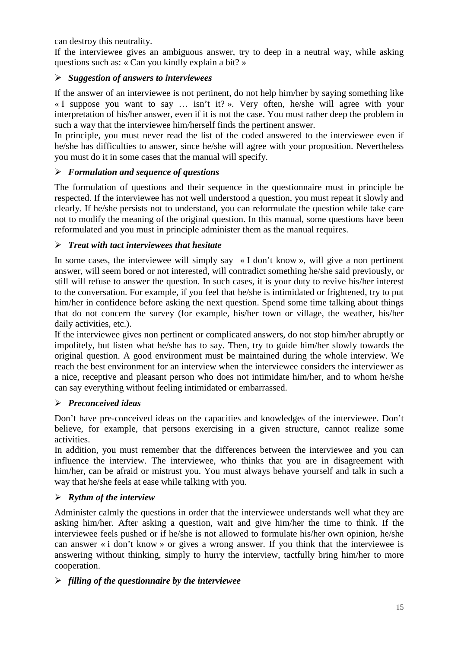can destroy this neutrality.

If the interviewee gives an ambiguous answer, try to deep in a neutral way, while asking questions such as: « Can you kindly explain a bit? »

### *Suggestion of answers to interviewees*

If the answer of an interviewee is not pertinent, do not help him/her by saying something like « I suppose you want to say … isn't it? ». Very often, he/she will agree with your interpretation of his/her answer, even if it is not the case. You must rather deep the problem in such a way that the interviewee him/herself finds the pertinent answer.

In principle, you must never read the list of the coded answered to the interviewee even if he/she has difficulties to answer, since he/she will agree with your proposition. Nevertheless you must do it in some cases that the manual will specify.

### *Formulation and sequence of questions*

The formulation of questions and their sequence in the questionnaire must in principle be respected. If the interviewee has not well understood a question, you must repeat it slowly and clearly. If he/she persists not to understand, you can reformulate the question while take care not to modify the meaning of the original question. In this manual, some questions have been reformulated and you must in principle administer them as the manual requires.

### *Treat with tact interviewees that hesitate*

In some cases, the interviewee will simply say  $\alpha$  I don't know », will give a non pertinent answer, will seem bored or not interested, will contradict something he/she said previously, or still will refuse to answer the question. In such cases, it is your duty to revive his/her interest to the conversation. For example, if you feel that he/she is intimidated or frightened, try to put him/her in confidence before asking the next question. Spend some time talking about things that do not concern the survey (for example, his/her town or village, the weather, his/her daily activities, etc.).

If the interviewee gives non pertinent or complicated answers, do not stop him/her abruptly or impolitely, but listen what he/she has to say. Then, try to guide him/her slowly towards the original question. A good environment must be maintained during the whole interview. We reach the best environment for an interview when the interviewee considers the interviewer as a nice, receptive and pleasant person who does not intimidate him/her, and to whom he/she can say everything without feeling intimidated or embarrassed.

### *Preconceived ideas*

Don't have pre-conceived ideas on the capacities and knowledges of the interviewee. Don't believe, for example, that persons exercising in a given structure, cannot realize some activities.

In addition, you must remember that the differences between the interviewee and you can influence the interview. The interviewee, who thinks that you are in disagreement with him/her, can be afraid or mistrust you. You must always behave yourself and talk in such a way that he/she feels at ease while talking with you.

### *Rythm of the interview*

Administer calmly the questions in order that the interviewee understands well what they are asking him/her. After asking a question, wait and give him/her the time to think. If the interviewee feels pushed or if he/she is not allowed to formulate his/her own opinion, he/she can answer « i don't know » or gives a wrong answer. If you think that the interviewee is answering without thinking, simply to hurry the interview, tactfully bring him/her to more cooperation.

### *filling of the questionnaire by the interviewee*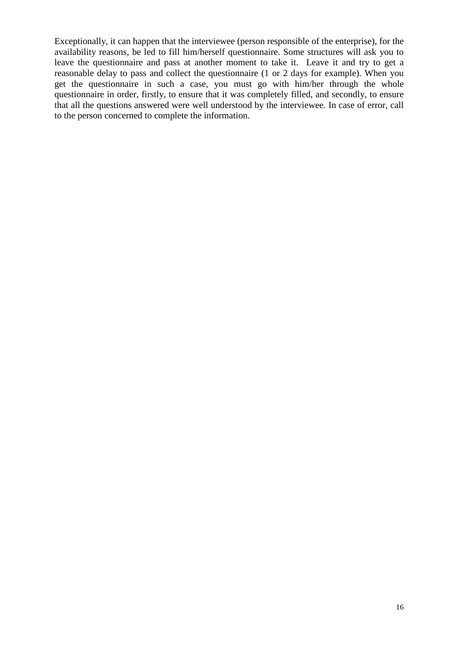Exceptionally, it can happen that the interviewee (person responsible of the enterprise), for the availability reasons, be led to fill him/herself questionnaire. Some structures will ask you to leave the questionnaire and pass at another moment to take it. Leave it and try to get a reasonable delay to pass and collect the questionnaire (1 or 2 days for example). When you get the questionnaire in such a case, you must go with him/her through the whole questionnaire in order, firstly, to ensure that it was completely filled, and secondly, to ensure that all the questions answered were well understood by the interviewee. In case of error, call to the person concerned to complete the information.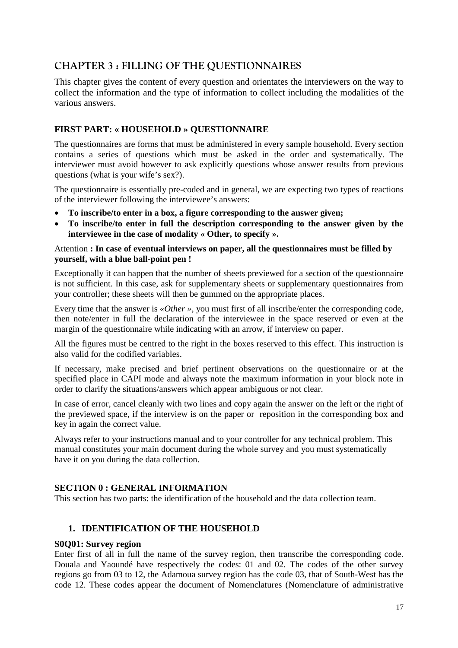### <span id="page-16-0"></span>**CHAPTER 3 : FILLING OF THE QUESTIONNAIRES**

This chapter gives the content of every question and orientates the interviewers on the way to collect the information and the type of information to collect including the modalities of the various answers.

#### **FIRST PART: « HOUSEHOLD » QUESTIONNAIRE**

The questionnaires are forms that must be administered in every sample household. Every section contains a series of questions which must be asked in the order and systematically. The interviewer must avoid however to ask explicitly questions whose answer results from previous questions (what is your wife's sex?).

The questionnaire is essentially pre-coded and in general, we are expecting two types of reactions of the interviewer following the interviewee's answers:

- **To inscribe/to enter in a box, a figure corresponding to the answer given;**
- **To inscribe/to enter in full the description corresponding to the answer given by the interviewee in the case of modality « Other, to specify ».**

#### Attention **: In case of eventual interviews on paper, all the questionnaires must be filled by yourself, with a blue ball-point pen !**

Exceptionally it can happen that the number of sheets previewed for a section of the questionnaire is not sufficient. In this case, ask for supplementary sheets or supplementary questionnaires from your controller; these sheets will then be gummed on the appropriate places.

Every time that the answer is *«Other »*, you must first of all inscribe/enter the corresponding code, then note/enter in full the declaration of the interviewee in the space reserved or even at the margin of the questionnaire while indicating with an arrow, if interview on paper.

All the figures must be centred to the right in the boxes reserved to this effect. This instruction is also valid for the codified variables.

If necessary, make precised and brief pertinent observations on the questionnaire or at the specified place in CAPI mode and always note the maximum information in your block note in order to clarify the situations/answers which appear ambiguous or not clear.

In case of error, cancel cleanly with two lines and copy again the answer on the left or the right of the previewed space, if the interview is on the paper or reposition in the corresponding box and key in again the correct value.

Always refer to your instructions manual and to your controller for any technical problem. This manual constitutes your main document during the whole survey and you must systematically have it on you during the data collection.

#### **SECTION 0 : GENERAL INFORMATION**

This section has two parts: the identification of the household and the data collection team.

#### **1. IDENTIFICATION OF THE HOUSEHOLD**

#### **S0Q01: Survey region**

Enter first of all in full the name of the survey region, then transcribe the corresponding code. Douala and Yaoundé have respectively the codes: 01 and 02. The codes of the other survey regions go from 03 to 12, the Adamoua survey region has the code 03, that of South-West has the code 12. These codes appear the document of Nomenclatures (Nomenclature of administrative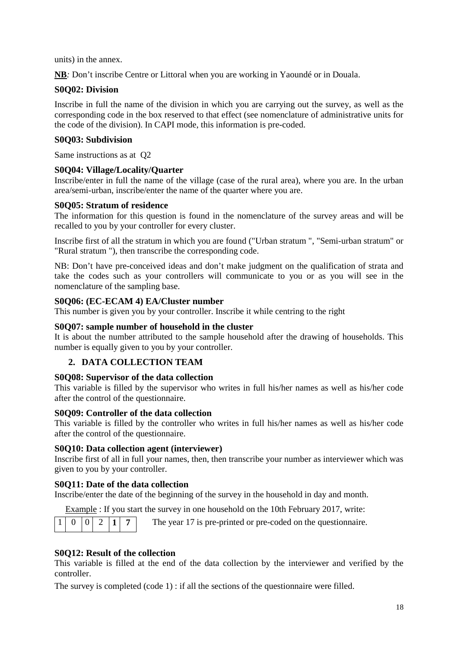units) in the annex.

**NB***:* Don't inscribe Centre or Littoral when you are working in Yaoundé or in Douala*.*

#### **S0Q02: Division**

Inscribe in full the name of the division in which you are carrying out the survey, as well as the corresponding code in the box reserved to that effect (see nomenclature of administrative units for the code of the division). In CAPI mode, this information is pre-coded.

#### **S0Q03: Subdivision**

Same instructions as at Q2

#### **S0Q04: Village/Locality/Quarter**

Inscribe/enter in full the name of the village (case of the rural area), where you are. In the urban area/semi-urban, inscribe/enter the name of the quarter where you are.

#### **S0Q05: Stratum of residence**

The information for this question is found in the nomenclature of the survey areas and will be recalled to you by your controller for every cluster.

Inscribe first of all the stratum in which you are found ("Urban stratum ", "Semi-urban stratum" or "Rural stratum "), then transcribe the corresponding code.

NB: Don't have pre-conceived ideas and don't make judgment on the qualification of strata and take the codes such as your controllers will communicate to you or as you will see in the nomenclature of the sampling base.

#### **S0Q06: (EC-ECAM 4) EA/Cluster number**

This number is given you by your controller. Inscribe it while centring to the right

#### **S0Q07: sample number of household in the cluster**

It is about the number attributed to the sample household after the drawing of households. This number is equally given to you by your controller.

#### **2. DATA COLLECTION TEAM**

#### **S0Q08: Supervisor of the data collection**

This variable is filled by the supervisor who writes in full his/her names as well as his/her code after the control of the questionnaire.

#### **S0Q09: Controller of the data collection**

This variable is filled by the controller who writes in full his/her names as well as his/her code after the control of the questionnaire.

#### **S0Q10: Data collection agent (interviewer)**

Inscribe first of all in full your names, then, then transcribe your number as interviewer which was given to you by your controller.

#### **S0Q11: Date of the data collection**

Inscribe/enter the date of the beginning of the survey in the household in day and month.

Example : If you start the survey in one household on the 10th February 2017, write:

The year 17 is pre-printed or pre-coded on the questionnaire.

#### **S0Q12: Result of the collection**

This variable is filled at the end of the data collection by the interviewer and verified by the controller.

The survey is completed (code  $1$ ) : if all the sections of the questionnaire were filled.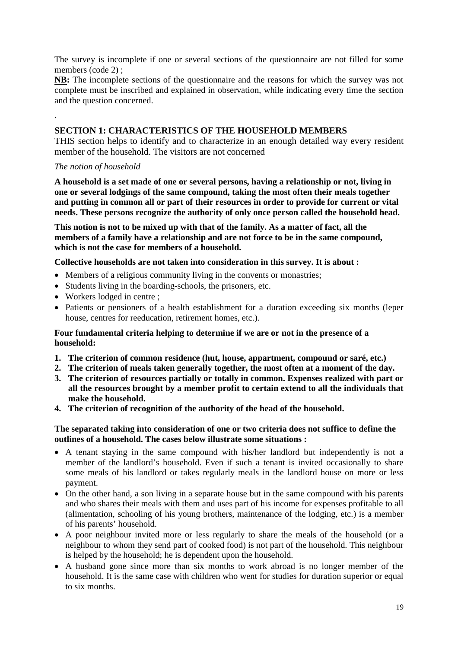The survey is incomplete if one or several sections of the questionnaire are not filled for some members (code 2);

**NB:** The incomplete sections of the questionnaire and the reasons for which the survey was not complete must be inscribed and explained in observation, while indicating every time the section and the question concerned.

#### **SECTION 1: CHARACTERISTICS OF THE HOUSEHOLD MEMBERS**

THIS section helps to identify and to characterize in an enough detailed way every resident member of the household. The visitors are not concerned

#### *The notion of household*

.

**A household is a set made of one or several persons, having a relationship or not, living in one or several lodgings of the same compound, taking the most often their meals together and putting in common all or part of their resources in order to provide for current or vital needs. These persons recognize the authority of only once person called the household head.**

**This notion is not to be mixed up with that of the family. As a matter of fact, all the members of a family have a relationship and are not force to be in the same compound, which is not the case for members of a household.**

#### **Collective households are not taken into consideration in this survey. It is about :**

- Members of a religious community living in the convents or monastries;
- Students living in the boarding-schools, the prisoners, etc.
- Workers lodged in centre ;
- Patients or pensioners of a health establishment for a duration exceeding six months (leper house, centres for reeducation, retirement homes, etc.).

#### **Four fundamental criteria helping to determine if we are or not in the presence of a household:**

- **1. The criterion of common residence (hut, house, appartment, compound or saré, etc.)**
- **2. The criterion of meals taken generally together, the most often at a moment of the day.**
- **3. The criterion of resources partially or totally in common. Expenses realized with part or all the resources brought by a member profit to certain extend to all the individuals that make the household.**
- **4. The criterion of recognition of the authority of the head of the household.**

#### **The separated taking into consideration of one or two criteria does not suffice to define the outlines of a household. The cases below illustrate some situations :**

- A tenant staying in the same compound with his/her landlord but independently is not a member of the landlord's household. Even if such a tenant is invited occasionally to share some meals of his landlord or takes regularly meals in the landlord house on more or less payment.
- On the other hand, a son living in a separate house but in the same compound with his parents and who shares their meals with them and uses part of his income for expenses profitable to all (alimentation, schooling of his young brothers, maintenance of the lodging, etc.) is a member of his parents' household.
- A poor neighbour invited more or less regularly to share the meals of the household (or a neighbour to whom they send part of cooked food) is not part of the household. This neighbour is helped by the household; he is dependent upon the household.
- A husband gone since more than six months to work abroad is no longer member of the household. It is the same case with children who went for studies for duration superior or equal to six months.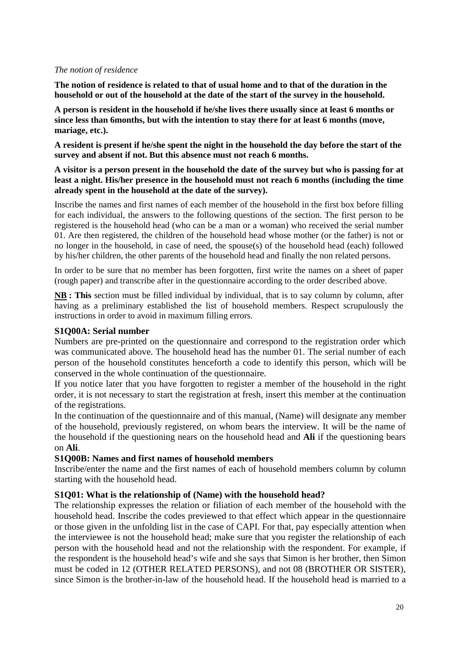#### *The notion of residence*

**The notion of residence is related to that of usual home and to that of the duration in the household or out of the household at the date of the start of the survey in the household.**

**A person is resident in the household if he/she lives there usually since at least 6 months or since less than 6months, but with the intention to stay there for at least 6 months (move, mariage, etc.).**

**A resident is present if he/she spent the night in the household the day before the start of the survey and absent if not. But this absence must not reach 6 months.**

**A visitor is a person present in the household the date of the survey but who is passing for at least a night. His/her presence in the household must not reach 6 months (including the time already spent in the household at the date of the survey).**

Inscribe the names and first names of each member of the household in the first box before filling for each individual, the answers to the following questions of the section. The first person to be registered is the household head (who can be a man or a woman) who received the serial number 01. Are then registered, the children of the household head whose mother (or the father) is not or no longer in the household, in case of need, the spouse(s) of the household head (each) followed by his/her children, the other parents of the household head and finally the non related persons.

In order to be sure that no member has been forgotten, first write the names on a sheet of paper (rough paper) and transcribe after in the questionnaire according to the order described above.

**NB : This** section must be filled individual by individual, that is to say column by column, after having as a preliminary established the list of household members. Respect scrupulously the instructions in order to avoid in maximum filling errors.

#### **S1Q00A: Serial number**

Numbers are pre-printed on the questionnaire and correspond to the registration order which was communicated above. The household head has the number 01. The serial number of each person of the household constitutes henceforth a code to identify this person, which will be conserved in the whole continuation of the questionnaire.

If you notice later that you have forgotten to register a member of the household in the right order, it is not necessary to start the registration at fresh, insert this member at the continuation of the registrations.

In the continuation of the questionnaire and of this manual, (Name) will designate any member of the household, previously registered, on whom bears the interview. It will be the name of the household if the questioning nears on the household head and **Ali** if the questioning bears on **Ali**.

#### **S1Q00B: Names and first names of household members**

Inscribe/enter the name and the first names of each of household members column by column starting with the household head.

#### **S1Q01: What is the relationship of (Name) with the household head?**

The relationship expresses the relation or filiation of each member of the household with the household head. Inscribe the codes previewed to that effect which appear in the questionnaire or those given in the unfolding list in the case of CAPI. For that, pay especially attention when the interviewee is not the household head; make sure that you register the relationship of each person with the household head and not the relationship with the respondent. For example, if the respondent is the household head's wife and she says that Simon is her brother, then Simon must be coded in 12 (OTHER RELATED PERSONS), and not 08 (BROTHER OR SISTER), since Simon is the brother-in-law of the household head. If the household head is married to a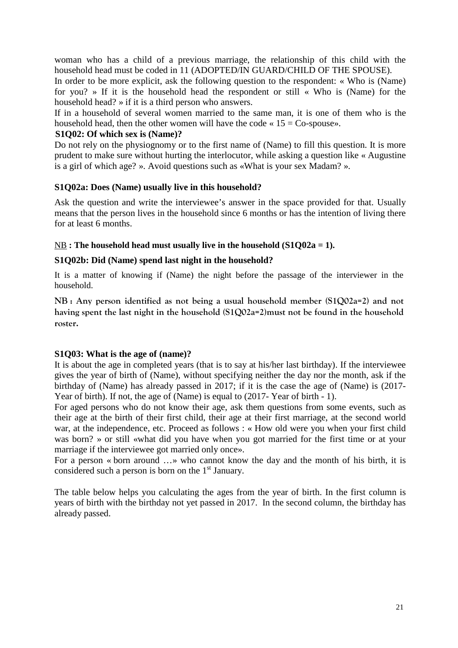woman who has a child of a previous marriage, the relationship of this child with the household head must be coded in 11 (ADOPTED/IN GUARD/CHILD OF THE SPOUSE).

In order to be more explicit, ask the following question to the respondent: « Who is (Name) for you? » If it is the household head the respondent or still « Who is (Name) for the household head? » if it is a third person who answers.

If in a household of several women married to the same man, it is one of them who is the household head, then the other women will have the code  $\le 15 = Co-spouse$ ».

#### **S1Q02: Of which sex is (Name)?**

Do not rely on the physiognomy or to the first name of (Name) to fill this question. It is more prudent to make sure without hurting the interlocutor, while asking a question like « Augustine is a girl of which age? ». Avoid questions such as «What is your sex Madam? ».

#### **S1Q02a: Does (Name) usually live in this household?**

Ask the question and write the interviewee's answer in the space provided for that. Usually means that the person lives in the household since 6 months or has the intention of living there for at least 6 months.

#### NB **:** The household head must usually live in the household  $(S1Q02a = 1)$ .

#### **S1Q02b: Did (Name) spend last night in the household?**

It is a matter of knowing if (Name) the night before the passage of the interviewer in the household.

**NB : Any person identified as not being a usual household member (S1Q02a=2) and not having spent the last night in the household (S1Q02a=2)must not be found in the household roster.**

#### **S1Q03: What is the age of (name)?**

It is about the age in completed years (that is to say at his/her last birthday). If the interviewee gives the year of birth of (Name), without specifying neither the day nor the month, ask if the birthday of (Name) has already passed in 2017; if it is the case the age of (Name) is (2017- Year of birth). If not, the age of (Name) is equal to  $(2017 - \text{Year of birth} - 1)$ .

For aged persons who do not know their age, ask them questions from some events, such as their age at the birth of their first child, their age at their first marriage, at the second world war, at the independence, etc. Proceed as follows : « How old were you when your first child was born? » or still «what did you have when you got married for the first time or at your marriage if the interviewee got married only once».

For a person « born around …» who cannot know the day and the month of his birth, it is considered such a person is born on the 1<sup>st</sup> January.

The table below helps you calculating the ages from the year of birth. In the first column is years of birth with the birthday not yet passed in 2017. In the second column, the birthday has already passed.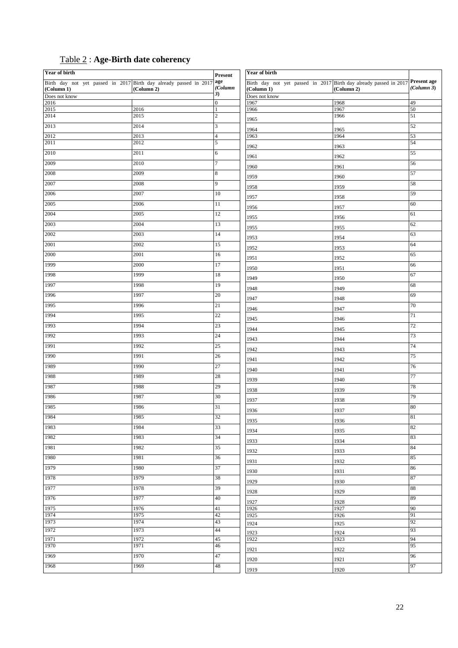|  | <b>Table 2: Age-Birth date coherency</b> |  |  |
|--|------------------------------------------|--|--|
|--|------------------------------------------|--|--|

| <b>Year of birth</b>                                                  |              | <b>Year of birth</b><br><b>Present</b> |                                                                               |              |            |
|-----------------------------------------------------------------------|--------------|----------------------------------------|-------------------------------------------------------------------------------|--------------|------------|
| Birth day not yet passed in 2017 Birth day already passed in 2017 age |              |                                        | Birth day not yet passed in 2017 Birth day already passed in 2017 Present age |              |            |
| (Column 1)<br>Does not know                                           | (Column 2)   | (Column<br>3)                          | (Column 1)<br>Does not know                                                   | (Column 2)   | (Column 3) |
| 2016                                                                  |              | $\overline{0}$                         | 1967                                                                          | 1968         | 49         |
| 2015                                                                  | 2016         | $\mathbf{1}$                           | 1966                                                                          | 1967         | 50         |
| 2014                                                                  | 2015         | $\overline{2}$                         | 1965                                                                          | 1966         | 51         |
| 2013                                                                  | 2014         | $\mathfrak{Z}$                         | 1964                                                                          | 1965         | 52         |
| 2012                                                                  | 2013         | $\overline{\mathbf{4}}$                | 1963                                                                          | 1964         | 53         |
| 2011                                                                  | 2012         | $\overline{5}$                         | 1962                                                                          | 1963         | 54         |
| 2010                                                                  | 2011         | 6                                      | 1961                                                                          | 1962         | 55         |
| 2009                                                                  | 2010         | $\overline{7}$                         | 1960                                                                          | 1961         | 56         |
| 2008                                                                  | 2009         | $\,$ 8 $\,$                            | 1959                                                                          | 1960         | 57         |
| 2007                                                                  | 2008         | $\overline{9}$                         | 1958                                                                          | 1959         | 58         |
| 2006                                                                  | 2007         | 10                                     | 1957                                                                          | 1958         | 59         |
| 2005                                                                  | 2006         | $\overline{11}$                        | 1956                                                                          | 1957         | 60         |
| 2004                                                                  | 2005         | 12                                     | 1955                                                                          | 1956         | 61         |
| 2003                                                                  | 2004         | 13                                     | 1955                                                                          | 1955         | 62         |
| 2002                                                                  | 2003         | 14                                     | 1953                                                                          | 1954         | 63         |
| 2001                                                                  | 2002         | 15                                     | 1952                                                                          | 1953         | 64         |
| 2000                                                                  | 2001         | 16                                     | 1951                                                                          | 1952         | 65         |
| 1999                                                                  | 2000         | 17                                     | 1950                                                                          | 1951         | 66         |
| 1998                                                                  | 1999         | 18                                     | 1949                                                                          | 1950         | 67         |
| 1997                                                                  | 1998         | 19                                     | 1948                                                                          | 1949         | 68         |
| 1996                                                                  | 1997         | 20                                     | 1947                                                                          | 1948         | 69         |
| 1995                                                                  | 1996         | 21                                     | 1946                                                                          | 1947         | 70         |
| 1994                                                                  | 1995         | 22                                     | 1945                                                                          | 1946         | 71         |
| 1993                                                                  | 1994         | 23                                     | 1944                                                                          | 1945         | 72         |
| 1992                                                                  | 1993         | 24                                     | 1943                                                                          | 1944         | 73         |
| 1991                                                                  | 1992         | 25                                     |                                                                               |              | 74         |
| 1990                                                                  | 1991         | 26                                     | 1942<br>1941                                                                  | 1943<br>1942 | 75         |
| 1989                                                                  | 1990         | 27                                     | 1940                                                                          | 1941         | 76         |
| 1988                                                                  | 1989         | 28                                     |                                                                               | 1940         | 77         |
| 1987                                                                  | 1988         | 29                                     | 1939                                                                          |              | 78         |
| 1986                                                                  | 1987         | 30                                     | 1938                                                                          | 1939         | 79         |
| 1985                                                                  | 1986         | 31                                     | 1937                                                                          | 1938         | 80         |
| 1984                                                                  | 1985         | 32                                     | 1936                                                                          | 1937         | 81         |
| 1983                                                                  | 1984         | 33                                     | 1935                                                                          | 1936         | 82         |
| 1982                                                                  | 1983         | 34                                     | 1934                                                                          | 1935         | 83         |
| 1981                                                                  | 1982         | 35                                     | 1933                                                                          | 1934         | 84         |
| 1980                                                                  | 1981         | 36                                     | 1932                                                                          | 1933         | 85         |
| 1979                                                                  | 1980         | 37                                     | 1931                                                                          | 1932         | 86         |
| 1978                                                                  | 1979         | 38                                     | 1930                                                                          | 1931         | 87         |
| 1977                                                                  | 1978         | 39                                     | 1929                                                                          | 1930         | 88         |
|                                                                       |              |                                        | 1928                                                                          | 1929         |            |
| 1976                                                                  | 1977         | 40                                     | 1927                                                                          | 1928         | 89         |
| 1975<br>1974                                                          | 1976<br>1975 | 41<br>42                               | 1926<br>1925                                                                  | 1927<br>1926 | 90<br>91   |
| 1973                                                                  | 1974         | 43                                     | 1924                                                                          | 1925         | 92         |
| 1972                                                                  | 1973         | 44                                     | 1923                                                                          | 1924         | 93         |
| 1971                                                                  | 1972         | 45                                     | 1922                                                                          | 1923         | 94         |
| 1970                                                                  | 1971         | 46                                     | 1921                                                                          | 1922         | 95         |
| 1969                                                                  | 1970         | 47                                     | 1920                                                                          | 1921         | 96         |
| 1968                                                                  | 1969         | 48                                     | 1919                                                                          | 1920         | 97         |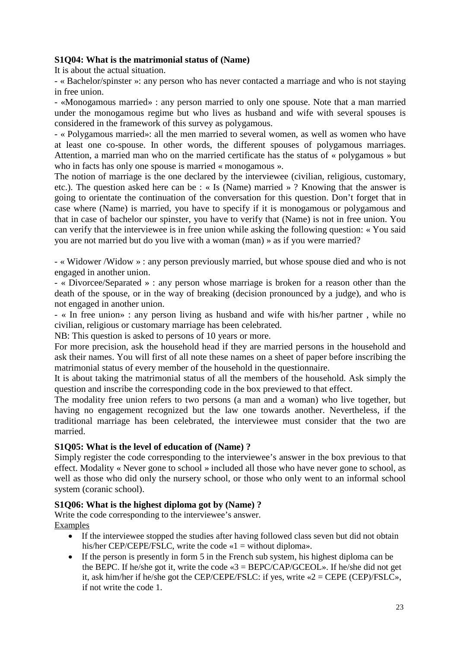#### **S1Q04: What is the matrimonial status of (Name)**

It is about the actual situation.

- « Bachelor/spinster »: any person who has never contacted a marriage and who is not staying in free union.

- «Monogamous married» : any person married to only one spouse. Note that a man married under the monogamous regime but who lives as husband and wife with several spouses is considered in the framework of this survey as polygamous.

- « Polygamous married»: all the men married to several women, as well as women who have at least one co-spouse. In other words, the different spouses of polygamous marriages. Attention, a married man who on the married certificate has the status of « polygamous » but who in facts has only one spouse is married « monogamous ».

The notion of marriage is the one declared by the interviewee (civilian, religious, customary, etc.). The question asked here can be : « Is (Name) married » ? Knowing that the answer is going to orientate the continuation of the conversation for this question. Don't forget that in case where (Name) is married, you have to specify if it is monogamous or polygamous and that in case of bachelor our spinster, you have to verify that (Name) is not in free union. You can verify that the interviewee is in free union while asking the following question: « You said you are not married but do you live with a woman (man) » as if you were married?

- « Widower /Widow » : any person previously married, but whose spouse died and who is not engaged in another union.

- « Divorcee/Separated » : any person whose marriage is broken for a reason other than the death of the spouse, or in the way of breaking (decision pronounced by a judge), and who is not engaged in another union.

- « In free union» : any person living as husband and wife with his/her partner , while no civilian, religious or customary marriage has been celebrated.

NB: This question is asked to persons of 10 years or more.

For more precision, ask the household head if they are married persons in the household and ask their names. You will first of all note these names on a sheet of paper before inscribing the matrimonial status of every member of the household in the questionnaire.

It is about taking the matrimonial status of all the members of the household. Ask simply the question and inscribe the corresponding code in the box previewed to that effect.

The modality free union refers to two persons (a man and a woman) who live together, but having no engagement recognized but the law one towards another. Nevertheless, if the traditional marriage has been celebrated, the interviewee must consider that the two are married.

#### **S1Q05: What is the level of education of (Name) ?**

Simply register the code corresponding to the interviewee's answer in the box previous to that effect. Modality « Never gone to school » included all those who have never gone to school, as well as those who did only the nursery school, or those who only went to an informal school system (coranic school).

#### **S1Q06: What is the highest diploma got by (Name) ?**

Write the code corresponding to the interviewee's answer. Examples

- If the interviewee stopped the studies after having followed class seven but did not obtain his/her CEP/CEPE/FSLC, write the code «1 = without diploma».
- If the person is presently in form 5 in the French sub system, his highest diploma can be the BEPC. If he/she got it, write the code  $\leq 3 = \text{BEPC/CAP/GCEOL}$ ». If he/she did not get it, ask him/her if he/she got the CEP/CEPE/FSLC: if yes, write «2 = CEPE (CEP)/FSLC», if not write the code 1.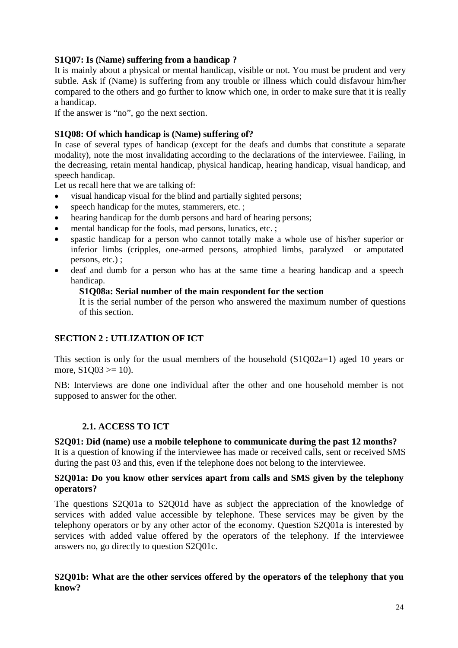#### **S1Q07: Is (Name) suffering from a handicap ?**

It is mainly about a physical or mental handicap, visible or not. You must be prudent and very subtle. Ask if (Name) is suffering from any trouble or illness which could disfavour him/her compared to the others and go further to know which one, in order to make sure that it is really a handicap.

If the answer is "no", go the next section.

#### **S1Q08: Of which handicap is (Name) suffering of?**

In case of several types of handicap (except for the deafs and dumbs that constitute a separate modality), note the most invalidating according to the declarations of the interviewee. Failing, in the decreasing, retain mental handicap, physical handicap, hearing handicap, visual handicap, and speech handicap.

Let us recall here that we are talking of:

- visual handicap visual for the blind and partially sighted persons;
- speech handicap for the mutes, stammerers, etc. ;
- hearing handicap for the dumb persons and hard of hearing persons;
- mental handicap for the fools, mad persons, lunatics, etc. ;
- spastic handicap for a person who cannot totally make a whole use of his/her superior or inferior limbs (cripples, one-armed persons, atrophied limbs, paralyzed or amputated persons, etc.) ;
- deaf and dumb for a person who has at the same time a hearing handicap and a speech handicap.

#### **S1Q08a: Serial number of the main respondent for the section**

It is the serial number of the person who answered the maximum number of questions of this section.

#### **SECTION 2 : UTLIZATION OF ICT**

This section is only for the usual members of the household (S1Q02a=1) aged 10 years or more,  $S1O03 \geq 10$ ).

NB: Interviews are done one individual after the other and one household member is not supposed to answer for the other.

#### **2.1. ACCESS TO ICT**

#### **S2Q01: Did (name) use a mobile telephone to communicate during the past 12 months?**

It is a question of knowing if the interviewee has made or received calls, sent or received SMS during the past 03 and this, even if the telephone does not belong to the interviewee.

#### **S2Q01a: Do you know other services apart from calls and SMS given by the telephony operators?**

The questions S2Q01a to S2Q01d have as subject the appreciation of the knowledge of services with added value accessible by telephone. These services may be given by the telephony operators or by any other actor of the economy. Question S2Q01a is interested by services with added value offered by the operators of the telephony. If the interviewee answers no, go directly to question S2Q01c.

#### **S2Q01b: What are the other services offered by the operators of the telephony that you know?**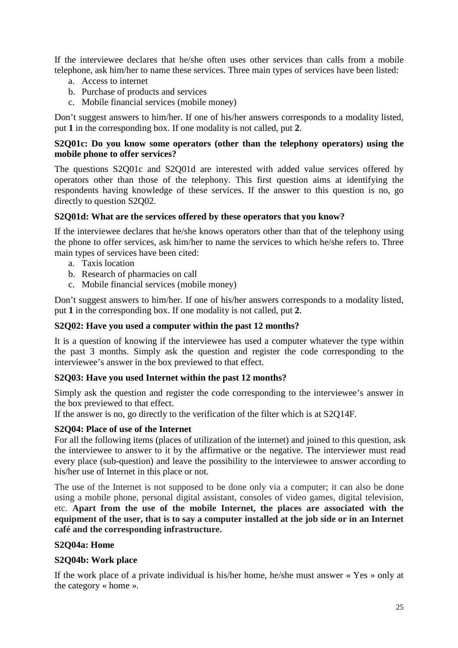If the interviewee declares that he/she often uses other services than calls from a mobile telephone, ask him/her to name these services. Three main types of services have been listed:

- a. Access to internet
- b. Purchase of products and services
- c. Mobile financial services (mobile money)

Don't suggest answers to him/her. If one of his/her answers corresponds to a modality listed, put **1** in the corresponding box. If one modality is not called, put **2**.

#### **S2Q01c: Do you know some operators (other than the telephony operators) using the mobile phone to offer services?**

The questions S2Q01c and S2Q01d are interested with added value services offered by operators other than those of the telephony. This first question aims at identifying the respondents having knowledge of these services. If the answer to this question is no, go directly to question S2Q02.

#### **S2Q01d: What are the services offered by these operators that you know?**

If the interviewee declares that he/she knows operators other than that of the telephony using the phone to offer services, ask him/her to name the services to which he/she refers to. Three main types of services have been cited:

- a. Taxis location
- b. Research of pharmacies on call
- c. Mobile financial services (mobile money)

Don't suggest answers to him/her. If one of his/her answers corresponds to a modality listed, put **1** in the corresponding box. If one modality is not called, put **2**.

#### **S2Q02: Have you used a computer within the past 12 months?**

It is a question of knowing if the interviewee has used a computer whatever the type within the past 3 months. Simply ask the question and register the code corresponding to the interviewee's answer in the box previewed to that effect.

#### **S2Q03: Have you used Internet within the past 12 months?**

Simply ask the question and register the code corresponding to the interviewee's answer in the box previewed to that effect.

If the answer is no, go directly to the verification of the filter which is at S2Q14F.

#### **S2Q04: Place of use of the Internet**

For all the following items (places of utilization of the internet) and joined to this question, ask the interviewee to answer to it by the affirmative or the negative. The interviewer must read every place (sub-question) and leave the possibility to the interviewee to answer according to his/her use of Internet in this place or not.

The use of the Internet is not supposed to be done only via a computer; it can also be done using a mobile phone, personal digital assistant, consoles of video games, digital television, etc. **Apart from the use of the mobile Internet, the places are associated with the equipment of the user, that is to say a computer installed at the job side or in an Internet café and the corresponding infrastructure.**

#### **S2Q04a: Home**

#### **S2Q04b: Work place**

If the work place of a private individual is his/her home, he/she must answer « Yes » only at the category « home ».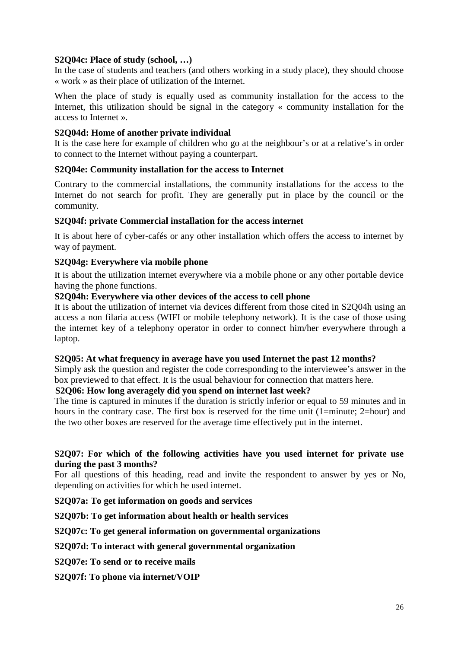#### **S2Q04c: Place of study (school, …)**

In the case of students and teachers (and others working in a study place), they should choose « work » as their place of utilization of the Internet.

When the place of study is equally used as community installation for the access to the Internet, this utilization should be signal in the category « community installation for the access to Internet ».

#### **S2Q04d: Home of another private individual**

It is the case here for example of children who go at the neighbour's or at a relative's in order to connect to the Internet without paying a counterpart.

#### **S2Q04e: Community installation for the access to Internet**

Contrary to the commercial installations, the community installations for the access to the Internet do not search for profit. They are generally put in place by the council or the community.

#### **S2Q04f: private Commercial installation for the access internet**

It is about here of cyber-cafés or any other installation which offers the access to internet by way of payment.

#### **S2Q04g: Everywhere via mobile phone**

It is about the utilization internet everywhere via a mobile phone or any other portable device having the phone functions.

#### **S2Q04h: Everywhere via other devices of the access to cell phone**

It is about the utilization of internet via devices different from those cited in S2Q04h using an access a non filaria access (WIFI or mobile telephony network). It is the case of those using the internet key of a telephony operator in order to connect him/her everywhere through a laptop.

#### **S2Q05: At what frequency in average have you used Internet the past 12 months?**

Simply ask the question and register the code corresponding to the interviewee's answer in the box previewed to that effect. It is the usual behaviour for connection that matters here.

#### **S2Q06: How long averagely did you spend on internet last week?**

The time is captured in minutes if the duration is strictly inferior or equal to 59 minutes and in hours in the contrary case. The first box is reserved for the time unit (1=minute; 2=hour) and the two other boxes are reserved for the average time effectively put in the internet.

#### **S2Q07: For which of the following activities have you used internet for private use during the past 3 months?**

For all questions of this heading, read and invite the respondent to answer by yes or No, depending on activities for which he used internet.

**S2Q07a: To get information on goods and services**

**S2Q07b: To get information about health or health services**

#### **S2Q07c: To get general information on governmental organizations**

#### **S2Q07d: To interact with general governmental organization**

**S2Q07e: To send or to receive mails**

**S2Q07f: To phone via internet/VOIP**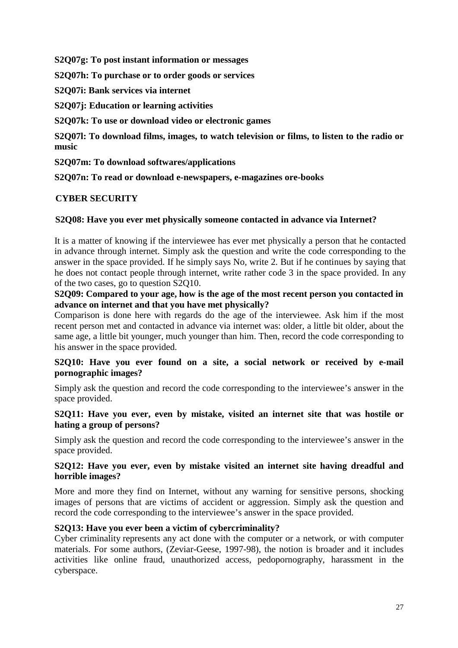**S2Q07g: To post instant information or messages**

**S2Q07h: To purchase or to order goods or services**

**S2Q07i: Bank services via internet**

**S2Q07j: Education or learning activities**

**S2Q07k: To use or download video or electronic games**

**S2Q07l: To download films, images, to watch television or films, to listen to the radio or music**

**S2Q07m: To download softwares/applications**

**S2Q07n: To read or download e-newspapers, e-magazines ore-books**

#### **CYBER SECURITY**

#### **S2Q08: Have you ever met physically someone contacted in advance via Internet?**

It is a matter of knowing if the interviewee has ever met physically a person that he contacted in advance through internet. Simply ask the question and write the code corresponding to the answer in the space provided. If he simply says No, write 2. But if he continues by saying that he does not contact people through internet, write rather code 3 in the space provided. In any of the two cases, go to question S2Q10.

#### **S2Q09: Compared to your age, how is the age of the most recent person you contacted in advance on internet and that you have met physically?**

Comparison is done here with regards do the age of the interviewee. Ask him if the most recent person met and contacted in advance via internet was: older, a little bit older, about the same age, a little bit younger, much younger than him. Then, record the code corresponding to his answer in the space provided.

#### **S2Q10: Have you ever found on a site, a social network or received by e-mail pornographic images?**

Simply ask the question and record the code corresponding to the interviewee's answer in the space provided.

#### **S2Q11: Have you ever, even by mistake, visited an internet site that was hostile or hating a group of persons?**

Simply ask the question and record the code corresponding to the interviewee's answer in the space provided.

#### **S2Q12: Have you ever, even by mistake visited an internet site having dreadful and horrible images?**

More and more they find on Internet, without any warning for sensitive persons, shocking images of persons that are victims of accident or aggression. Simply ask the question and record the code corresponding to the interviewee's answer in the space provided.

#### **S2Q13: Have you ever been a victim of cybercriminality?**

Cyber criminality represents any act done with the computer or a network, or with computer materials. For some authors, (Zeviar-Geese, 1997-98), the notion is broader and it includes activities like online fraud, unauthorized access, pedopornography, harassment in the cyberspace.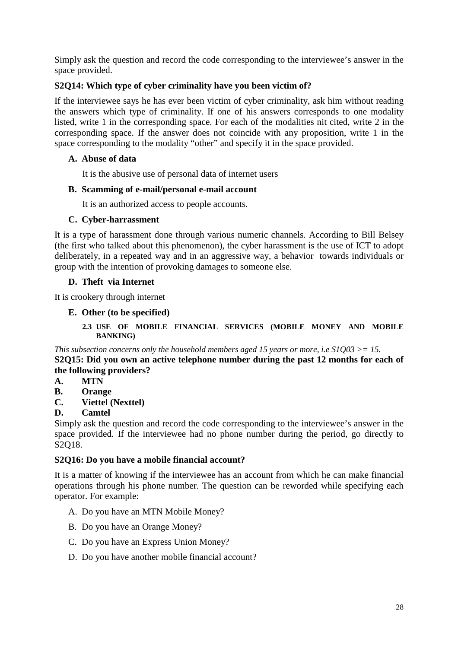Simply ask the question and record the code corresponding to the interviewee's answer in the space provided.

### **S2Q14: Which type of cyber criminality have you been victim of?**

If the interviewee says he has ever been victim of cyber criminality, ask him without reading the answers which type of criminality. If one of his answers corresponds to one modality listed, write 1 in the corresponding space. For each of the modalities nit cited, write 2 in the corresponding space. If the answer does not coincide with any proposition, write 1 in the space corresponding to the modality "other" and specify it in the space provided.

#### **A. Abuse of data**

It is the abusive use of personal data of internet users

#### **B. Scamming of e-mail/personal e-mail account**

It is an authorized access to people accounts.

#### **C. Cyber-harrassment**

It is a type of harassment done through various numeric channels. According to Bill Belsey (the first who talked about this phenomenon), the cyber harassment is the use of ICT to adopt deliberately, in a repeated way and in an aggressive way, a behavior towards individuals or group with the intention of provoking damages to someone else.

#### **D. Theft via Internet**

It is crookery through internet

#### **E. Other (to be specified)**

#### **2.3 USE OF MOBILE FINANCIAL SERVICES (MOBILE MONEY AND MOBILE BANKING)**

*This subsection concerns only the household members aged 15 years or more, i.e S1Q03 >= 15.* **S2Q15: Did you own an active telephone number during the past 12 months for each of the following providers?**

- **A. MTN**
- **B. Orange**
- **C. Viettel (Nexttel)**

#### **D. Camtel**

Simply ask the question and record the code corresponding to the interviewee's answer in the space provided. If the interviewee had no phone number during the period, go directly to S2Q18.

#### **S2Q16: Do you have a mobile financial account?**

It is a matter of knowing if the interviewee has an account from which he can make financial operations through his phone number. The question can be reworded while specifying each operator. For example:

- A. Do you have an MTN Mobile Money?
- B. Do you have an Orange Money?
- C. Do you have an Express Union Money?
- D. Do you have another mobile financial account?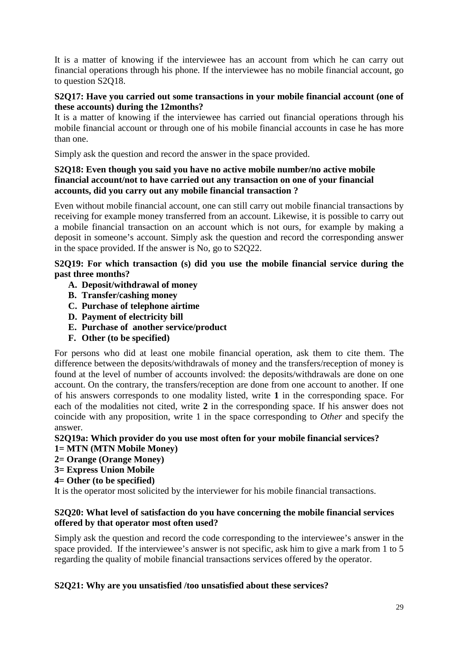It is a matter of knowing if the interviewee has an account from which he can carry out financial operations through his phone. If the interviewee has no mobile financial account, go to question S2Q18.

#### **S2Q17: Have you carried out some transactions in your mobile financial account (one of these accounts) during the 12months?**

It is a matter of knowing if the interviewee has carried out financial operations through his mobile financial account or through one of his mobile financial accounts in case he has more than one.

Simply ask the question and record the answer in the space provided.

#### **S2Q18: Even though you said you have no active mobile number/no active mobile financial account/not to have carried out any transaction on one of your financial accounts, did you carry out any mobile financial transaction ?**

Even without mobile financial account, one can still carry out mobile financial transactions by receiving for example money transferred from an account. Likewise, it is possible to carry out a mobile financial transaction on an account which is not ours, for example by making a deposit in someone's account. Simply ask the question and record the corresponding answer in the space provided. If the answer is No, go to S2Q22.

#### **S2Q19: For which transaction (s) did you use the mobile financial service during the past three months?**

- **A. Deposit/withdrawal of money**
- **B. Transfer/cashing money**
- **C. Purchase of telephone airtime**
- **D. Payment of electricity bill**
- **E. Purchase of another service/product**
- **F. Other (to be specified)**

For persons who did at least one mobile financial operation, ask them to cite them. The difference between the deposits/withdrawals of money and the transfers/reception of money is found at the level of number of accounts involved: the deposits/withdrawals are done on one account. On the contrary, the transfers/reception are done from one account to another. If one of his answers corresponds to one modality listed, write **1** in the corresponding space. For each of the modalities not cited, write **2** in the corresponding space. If his answer does not coincide with any proposition, write 1 in the space corresponding to *Other* and specify the answer.

#### **S2Q19a: Which provider do you use most often for your mobile financial services? 1= MTN (MTN Mobile Money)**

- **2= Orange (Orange Money)**
- **3= Express Union Mobile**
- **4= Other (to be specified)**

It is the operator most solicited by the interviewer for his mobile financial transactions.

#### **S2Q20: What level of satisfaction do you have concerning the mobile financial services offered by that operator most often used?**

Simply ask the question and record the code corresponding to the interviewee's answer in the space provided. If the interviewee's answer is not specific, ask him to give a mark from 1 to 5 regarding the quality of mobile financial transactions services offered by the operator.

#### **S2Q21: Why are you unsatisfied /too unsatisfied about these services?**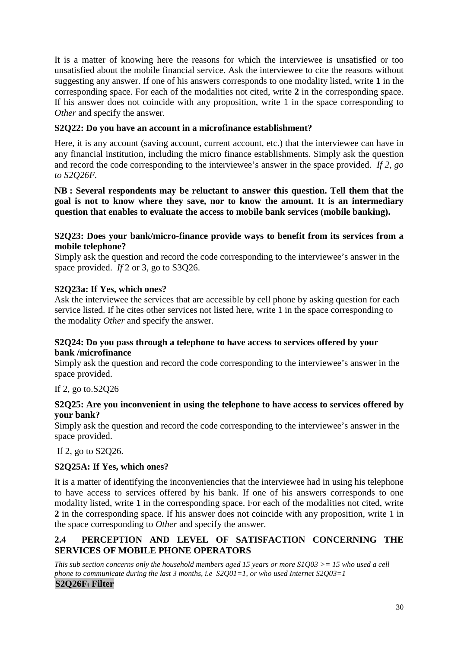It is a matter of knowing here the reasons for which the interviewee is unsatisfied or too unsatisfied about the mobile financial service. Ask the interviewee to cite the reasons without suggesting any answer. If one of his answers corresponds to one modality listed, write **1** in the corresponding space. For each of the modalities not cited, write **2** in the corresponding space. If his answer does not coincide with any proposition, write 1 in the space corresponding to *Other* and specify the answer.

#### **S2Q22: Do you have an account in a microfinance establishment?**

Here, it is any account (saving account, current account, etc.) that the interviewee can have in any financial institution, including the micro finance establishments. Simply ask the question and record the code corresponding to the interviewee's answer in the space provided. *If 2, go to S2Q26F.*

**NB : Several respondents may be reluctant to answer this question. Tell them that the goal is not to know where they save, nor to know the amount. It is an intermediary question that enables to evaluate the access to mobile bank services (mobile banking).**

#### **S2Q23: Does your bank/micro-finance provide ways to benefit from its services from a mobile telephone?**

Simply ask the question and record the code corresponding to the interviewee's answer in the space provided. *If* 2 or 3, go to S3Q26.

#### **S2Q23a: If Yes, which ones?**

Ask the interviewee the services that are accessible by cell phone by asking question for each service listed. If he cites other services not listed here, write 1 in the space corresponding to the modality *Other* and specify the answer.

#### **S2Q24: Do you pass through a telephone to have access to services offered by your bank /microfinance**

Simply ask the question and record the code corresponding to the interviewee's answer in the space provided.

If 2, go to.S2Q26

#### **S2Q25: Are you inconvenient in using the telephone to have access to services offered by your bank?**

Simply ask the question and record the code corresponding to the interviewee's answer in the space provided.

If 2, go to S2Q26.

#### **S2Q25A: If Yes, which ones?**

It is a matter of identifying the inconveniencies that the interviewee had in using his telephone to have access to services offered by his bank. If one of his answers corresponds to one modality listed, write **1** in the corresponding space. For each of the modalities not cited, write **2** in the corresponding space. If his answer does not coincide with any proposition, write 1 in the space corresponding to *Other* and specify the answer.

#### **2.4 PERCEPTION AND LEVEL OF SATISFACTION CONCERNING THE SERVICES OF MOBILE PHONE OPERATORS**

*This sub section concerns only the household members aged 15 years or more S1Q03 >= 15 who used a cell phone to communicate during the last 3 months, i.e S2Q01=1, or who used Internet S2Q03=1*

#### **S2Q26F: Filter**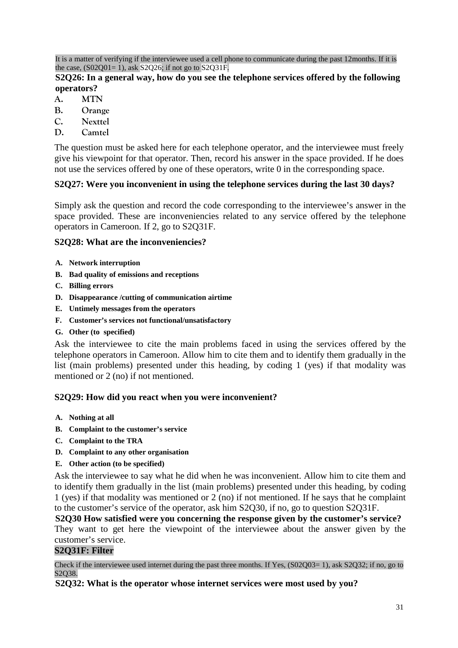It is a matter of verifying if the interviewee used a cell phone to communicate during the past 12months. If it is the case,  $(S02Q01=1)$ , ask  $S2Q26$ ; if not go to  $S2Q31F$ .

#### **S2Q26: In a general way, how do you see the telephone services offered by the following operators?**

- **A. MTN**
- **B. Orange**
- **C. Nexttel**
- **D. Camtel**

The question must be asked here for each telephone operator, and the interviewee must freely give his viewpoint for that operator. Then, record his answer in the space provided. If he does not use the services offered by one of these operators, write 0 in the corresponding space.

#### **S2Q27: Were you inconvenient in using the telephone services during the last 30 days?**

Simply ask the question and record the code corresponding to the interviewee's answer in the space provided. These are inconveniencies related to any service offered by the telephone operators in Cameroon. If 2, go to S2Q31F.

#### **S2Q28: What are the inconveniencies?**

- **A. Network interruption**
- **B. Bad quality of emissions and receptions**
- **C. Billing errors**
- **D. Disappearance /cutting of communication airtime**
- **E. Untimely messages from the operators**
- **F. Customer's services not functional/unsatisfactory**
- **G. Other (to specified)**

Ask the interviewee to cite the main problems faced in using the services offered by the telephone operators in Cameroon. Allow him to cite them and to identify them gradually in the list (main problems) presented under this heading, by coding 1 (yes) if that modality was mentioned or 2 (no) if not mentioned.

#### **S2Q29: How did you react when you were inconvenient?**

- **A. Nothing at all**
- **B. Complaint to the customer's service**
- **C. Complaint to the TRA**
- **D. Complaint to any other organisation**
- **E. Other action (to be specified)**

Ask the interviewee to say what he did when he was inconvenient. Allow him to cite them and to identify them gradually in the list (main problems) presented under this heading, by coding 1 (yes) if that modality was mentioned or 2 (no) if not mentioned. If he says that he complaint to the customer's service of the operator, ask him S2Q30, if no, go to question S2Q31F.

**S2Q30 How satisfied were you concerning the response given by the customer's service?** They want to get here the viewpoint of the interviewee about the answer given by the customer's service.

#### **S2Q31F: Filter**

Check if the interviewee used internet during the past three months. If Yes,  $(S02Q03=1)$ , ask  $S2Q32$ ; if no, go to S<sub>2</sub>O<sub>38</sub>.

**S2Q32: What is the operator whose internet services were most used by you?**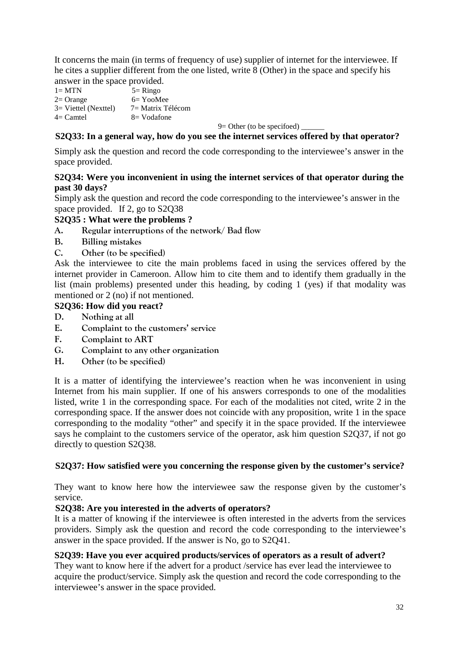It concerns the main (in terms of frequency of use) supplier of internet for the interviewee. If he cites a supplier different from the one listed, write 8 (Other) in the space and specify his answer in the space provided.

 $1 = \text{MTN}$   $5 = \text{Ringo}$  $2=$  Orange 6= YooMee 3= Viettel (Nexttel) 7= Matrix Télécom  $4=$  Camtel  $8=$  Vodafone

 $9=$  Other (to be specifoed)

#### **S2Q33: In a general way, how do you see the internet services offered by that operator?**

Simply ask the question and record the code corresponding to the interviewee's answer in the space provided.

#### **S2Q34: Were you inconvenient in using the internet services of that operator during the past 30 days?**

Simply ask the question and record the code corresponding to the interviewee's answer in the space provided. If 2, go to S2Q38

#### **S2Q35 : What were the problems ?**

- **A. Regular interruptions of the network/ Bad flow**
- **B. Billing mistakes**
- **C. Other (to be specified)**

Ask the interviewee to cite the main problems faced in using the services offered by the internet provider in Cameroon. Allow him to cite them and to identify them gradually in the list (main problems) presented under this heading, by coding 1 (yes) if that modality was mentioned or 2 (no) if not mentioned.

#### **S2Q36: How did you react?**

- **D. Nothing at all**
- **E. Complaint to the customers' service**
- **F. Complaint to ART**
- **G. Complaint to any other organization**
- **H. Other (to be specified)**

It is a matter of identifying the interviewee's reaction when he was inconvenient in using Internet from his main supplier. If one of his answers corresponds to one of the modalities listed, write 1 in the corresponding space. For each of the modalities not cited, write 2 in the corresponding space. If the answer does not coincide with any proposition, write 1 in the space corresponding to the modality "other" and specify it in the space provided. If the interviewee says he complaint to the customers service of the operator, ask him question S2Q37, if not go directly to question S2Q38.

#### **S2Q37: How satisfied were you concerning the response given by the customer's service?**

They want to know here how the interviewee saw the response given by the customer's service.

#### **S2Q38: Are you interested in the adverts of operators?**

It is a matter of knowing if the interviewee is often interested in the adverts from the services providers. Simply ask the question and record the code corresponding to the interviewee's answer in the space provided. If the answer is No, go to S2Q41.

#### **S2Q39: Have you ever acquired products/services of operators as a result of advert?**

They want to know here if the advert for a product /service has ever lead the interviewee to acquire the product/service. Simply ask the question and record the code corresponding to the interviewee's answer in the space provided.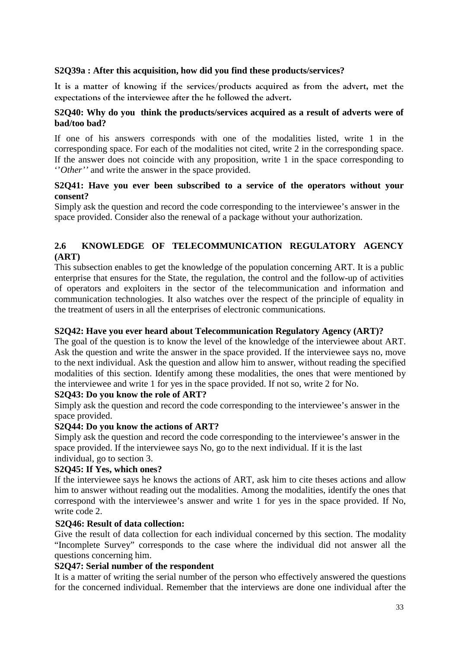#### **S2Q39a : After this acquisition, how did you find these products/services?**

**It is a matter of knowing if the services/products acquired as from the advert, met the expectations of the interviewee after the he followed the advert.**

#### **S2Q40: Why do you think the products/services acquired as a result of adverts were of bad/too bad?**

If one of his answers corresponds with one of the modalities listed, write 1 in the corresponding space. For each of the modalities not cited, write 2 in the corresponding space. If the answer does not coincide with any proposition, write 1 in the space corresponding to ''*Other''* and write the answer in the space provided.

#### **S2Q41: Have you ever been subscribed to a service of the operators without your consent?**

Simply ask the question and record the code corresponding to the interviewee's answer in the space provided. Consider also the renewal of a package without your authorization.

#### **2.6 KNOWLEDGE OF TELECOMMUNICATION REGULATORY AGENCY (ART)**

This subsection enables to get the knowledge of the population concerning ART. It is a public enterprise that ensures for the State, the regulation, the control and the follow-up of activities of operators and exploiters in the sector of the telecommunication and information and communication technologies. It also watches over the respect of the principle of equality in the treatment of users in all the enterprises of electronic communications.

#### **S2Q42: Have you ever heard about Telecommunication Regulatory Agency (ART)?**

The goal of the question is to know the level of the knowledge of the interviewee about ART. Ask the question and write the answer in the space provided. If the interviewee says no, move to the next individual. Ask the question and allow him to answer, without reading the specified modalities of this section. Identify among these modalities, the ones that were mentioned by the interviewee and write 1 for yes in the space provided. If not so, write 2 for No.

#### **S2Q43: Do you know the role of ART?**

Simply ask the question and record the code corresponding to the interviewee's answer in the space provided.

#### **S2Q44: Do you know the actions of ART?**

Simply ask the question and record the code corresponding to the interviewee's answer in the space provided. If the interviewee says No, go to the next individual. If it is the last individual, go to section 3.

#### **S2Q45: If Yes, which ones?**

If the interviewee says he knows the actions of ART, ask him to cite theses actions and allow him to answer without reading out the modalities. Among the modalities, identify the ones that correspond with the interviewee's answer and write 1 for yes in the space provided. If No, write code 2.

#### **S2Q46: Result of data collection:**

Give the result of data collection for each individual concerned by this section. The modality "Incomplete Survey" corresponds to the case where the individual did not answer all the questions concerning him.

#### **S2Q47: Serial number of the respondent**

It is a matter of writing the serial number of the person who effectively answered the questions for the concerned individual. Remember that the interviews are done one individual after the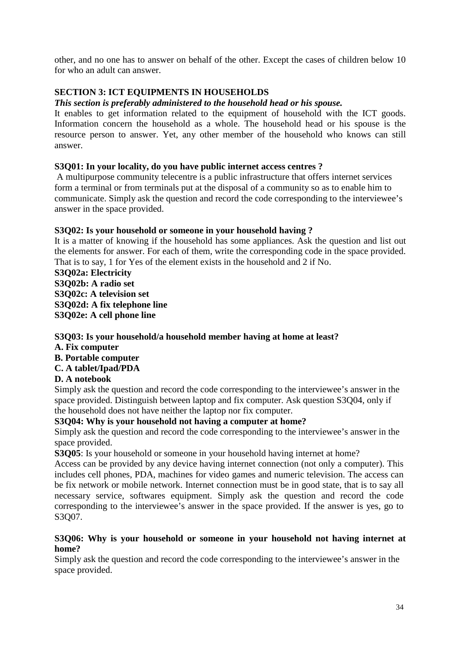other, and no one has to answer on behalf of the other. Except the cases of children below 10 for who an adult can answer.

### **SECTION 3: ICT EQUIPMENTS IN HOUSEHOLDS**

#### *This section is preferably administered to the household head or his spouse.*

It enables to get information related to the equipment of household with the ICT goods. Information concern the household as a whole. The household head or his spouse is the resource person to answer. Yet, any other member of the household who knows can still answer.

#### **S3Q01: In your locality, do you have public internet access centres ?**

A multipurpose community telecentre is a public infrastructure that offers internet services form a terminal or from terminals put at the disposal of a community so as to enable him to communicate. Simply ask the question and record the code corresponding to the interviewee's answer in the space provided.

#### **S3Q02: Is your household or someone in your household having ?**

It is a matter of knowing if the household has some appliances. Ask the question and list out the elements for answer. For each of them, write the corresponding code in the space provided. That is to say, 1 for Yes of the element exists in the household and 2 if No.

**S3Q02a: Electricity S3Q02b: A radio set S3Q02c: A television set S3Q02d: A fix telephone line S3Q02e: A cell phone line**

#### **S3Q03: Is your household/a household member having at home at least?**

#### **A. Fix computer**

### **B. Portable computer**

#### **C. A tablet/Ipad/PDA**

#### **D. A notebook**

Simply ask the question and record the code corresponding to the interviewee's answer in the space provided. Distinguish between laptop and fix computer. Ask question S3Q04, only if the household does not have neither the laptop nor fix computer.

#### **S3Q04: Why is your household not having a computer at home?**

Simply ask the question and record the code corresponding to the interviewee's answer in the space provided.

**S3Q05**: Is your household or someone in your household having internet at home?

Access can be provided by any device having internet connection (not only a computer). This includes cell phones, PDA, machines for video games and numeric television. The access can be fix network or mobile network. Internet connection must be in good state, that is to say all necessary service, softwares equipment. Simply ask the question and record the code corresponding to the interviewee's answer in the space provided. If the answer is yes, go to S3Q07.

#### **S3Q06: Why is your household or someone in your household not having internet at home?**

Simply ask the question and record the code corresponding to the interviewee's answer in the space provided.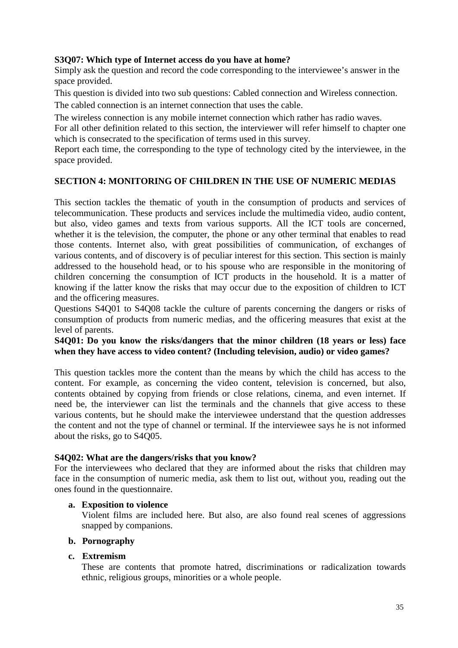#### **S3Q07: Which type of Internet access do you have at home?**

Simply ask the question and record the code corresponding to the interviewee's answer in the space provided.

This question is divided into two sub questions: Cabled connection and Wireless connection.

The cabled connection is an internet connection that uses the cable.

The wireless connection is any mobile internet connection which rather has radio waves.

For all other definition related to this section, the interviewer will refer himself to chapter one which is consecrated to the specification of terms used in this survey.

Report each time, the corresponding to the type of technology cited by the interviewee, in the space provided.

#### **SECTION 4: MONITORING OF CHILDREN IN THE USE OF NUMERIC MEDIAS**

This section tackles the thematic of youth in the consumption of products and services of telecommunication. These products and services include the multimedia video, audio content, but also, video games and texts from various supports. All the ICT tools are concerned, whether it is the television, the computer, the phone or any other terminal that enables to read those contents. Internet also, with great possibilities of communication, of exchanges of various contents, and of discovery is of peculiar interest for this section. This section is mainly addressed to the household head, or to his spouse who are responsible in the monitoring of children concerning the consumption of ICT products in the household. It is a matter of knowing if the latter know the risks that may occur due to the exposition of children to ICT and the officering measures.

Questions S4Q01 to S4Q08 tackle the culture of parents concerning the dangers or risks of consumption of products from numeric medias, and the officering measures that exist at the level of parents.

#### **S4Q01: Do you know the risks/dangers that the minor children (18 years or less) face when they have access to video content? (Including television, audio) or video games?**

This question tackles more the content than the means by which the child has access to the content. For example, as concerning the video content, television is concerned, but also, contents obtained by copying from friends or close relations, cinema, and even internet. If need be, the interviewer can list the terminals and the channels that give access to these various contents, but he should make the interviewee understand that the question addresses the content and not the type of channel or terminal. If the interviewee says he is not informed about the risks, go to S4Q05.

#### **S4Q02: What are the dangers/risks that you know?**

For the interviewees who declared that they are informed about the risks that children may face in the consumption of numeric media, ask them to list out, without you, reading out the ones found in the questionnaire.

#### **a. Exposition to violence**

Violent films are included here. But also, are also found real scenes of aggressions snapped by companions.

#### **b. Pornography**

#### **c. Extremism**

These are contents that promote hatred, discriminations or radicalization towards ethnic, religious groups, minorities or a whole people.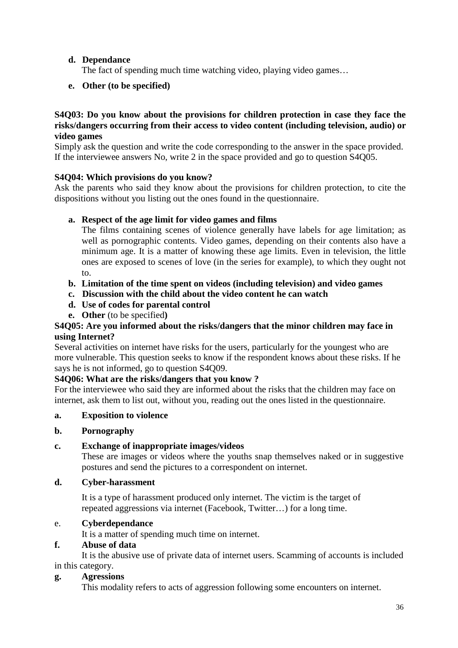### **d. Dependance**

The fact of spending much time watching video, playing video games…

#### **e. Other (to be specified)**

#### **S4Q03: Do you know about the provisions for children protection in case they face the risks/dangers occurring from their access to video content (including television, audio) or video games**

Simply ask the question and write the code corresponding to the answer in the space provided. If the interviewee answers No, write 2 in the space provided and go to question S4Q05.

#### **S4Q04: Which provisions do you know?**

Ask the parents who said they know about the provisions for children protection, to cite the dispositions without you listing out the ones found in the questionnaire.

#### **a. Respect of the age limit for video games and films**

The films containing scenes of violence generally have labels for age limitation; as well as pornographic contents. Video games, depending on their contents also have a minimum age. It is a matter of knowing these age limits. Even in television, the little ones are exposed to scenes of love (in the series for example), to which they ought not to.

- **b. Limitation of the time spent on videos (including television) and video games**
- **c. Discussion with the child about the video content he can watch**
- **d. Use of codes for parental control**
- **e. Other** (to be specified**)**

#### **S4Q05: Are you informed about the risks/dangers that the minor children may face in using Internet?**

Several activities on internet have risks for the users, particularly for the youngest who are more vulnerable. This question seeks to know if the respondent knows about these risks. If he says he is not informed, go to question S4Q09.

#### **S4Q06: What are the risks/dangers that you know ?**

For the interviewee who said they are informed about the risks that the children may face on internet, ask them to list out, without you, reading out the ones listed in the questionnaire.

#### **a. Exposition to violence**

#### **b. Pornography**

#### **c. Exchange of inappropriate images/videos**

These are images or videos where the youths snap themselves naked or in suggestive postures and send the pictures to a correspondent on internet.

#### **d. Cyber-harassment**

It is a type of harassment produced only internet. The victim is the target of repeated aggressions via internet (Facebook, Twitter…) for a long time.

#### e. **Cyberdependance**

It is a matter of spending much time on internet.

#### **f. Abuse of data**

It is the abusive use of private data of internet users. Scamming of accounts is included in this category.

### **g. Agressions**

This modality refers to acts of aggression following some encounters on internet.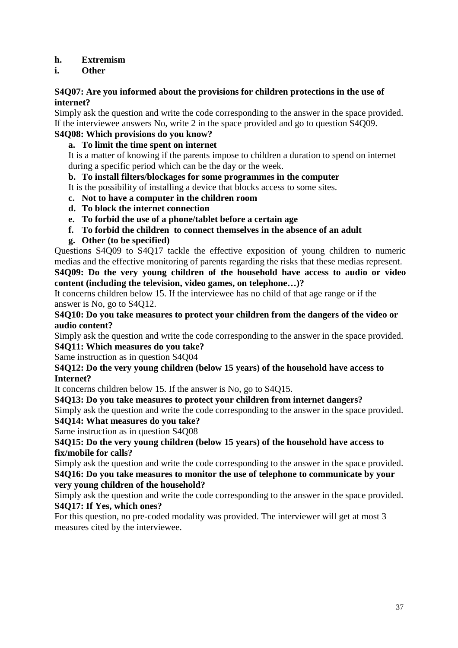#### **h. Extremism**

#### **i. Other**

#### **S4Q07: Are you informed about the provisions for children protections in the use of internet?**

Simply ask the question and write the code corresponding to the answer in the space provided. If the interviewee answers No, write 2 in the space provided and go to question S4Q09.

### **S4Q08: Which provisions do you know?**

#### **a. To limit the time spent on internet**

It is a matter of knowing if the parents impose to children a duration to spend on internet during a specific period which can be the day or the week.

#### **b. To install filters/blockages for some programmes in the computer**

It is the possibility of installing a device that blocks access to some sites.

- **c. Not to have a computer in the children room**
- **d. To block the internet connection**
- **e. To forbid the use of a phone/tablet before a certain age**
- **f. To forbid the children to connect themselves in the absence of an adult**
- **g. Other (to be specified)**

Questions S4Q09 to S4Q17 tackle the effective exposition of young children to numeric medias and the effective monitoring of parents regarding the risks that these medias represent. **S4Q09: Do the very young children of the household have access to audio or video**

**content (including the television, video games, on telephone…)?**

It concerns children below 15. If the interviewee has no child of that age range or if the answer is No, go to S4Q12.

#### **S4Q10: Do you take measures to protect your children from the dangers of the video or audio content?**

Simply ask the question and write the code corresponding to the answer in the space provided. **S4Q11: Which measures do you take?**

Same instruction as in question S4Q04

#### **S4Q12: Do the very young children (below 15 years) of the household have access to Internet?**

It concerns children below 15. If the answer is No, go to S4Q15.

#### **S4Q13: Do you take measures to protect your children from internet dangers?**

Simply ask the question and write the code corresponding to the answer in the space provided. **S4Q14: What measures do you take?**

Same instruction as in question S4Q08

#### **S4Q15: Do the very young children (below 15 years) of the household have access to fix/mobile for calls?**

Simply ask the question and write the code corresponding to the answer in the space provided. **S4Q16: Do you take measures to monitor the use of telephone to communicate by your**

#### **very young children of the household?**

Simply ask the question and write the code corresponding to the answer in the space provided. **S4Q17: If Yes, which ones?**

For this question, no pre-coded modality was provided. The interviewer will get at most 3 measures cited by the interviewee.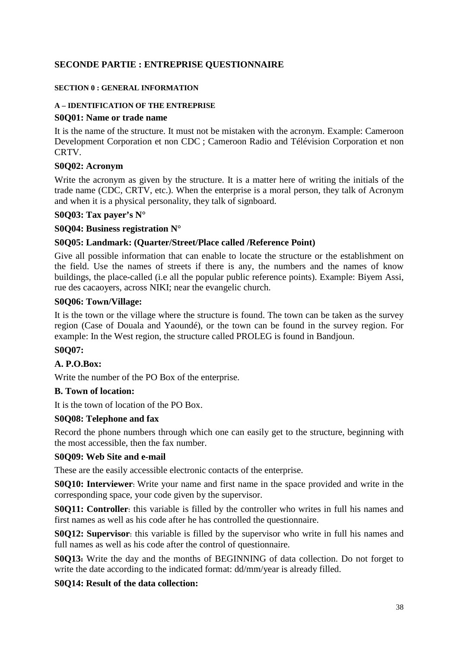#### <span id="page-37-0"></span>**SECONDE PARTIE : ENTREPRISE QUESTIONNAIRE**

#### **SECTION 0 : GENERAL INFORMATION**

#### **A – IDENTIFICATION OF THE ENTREPRISE**

#### **S0Q01: Name or trade name**

It is the name of the structure. It must not be mistaken with the acronym. Example: Cameroon Development Corporation et non CDC ; Cameroon Radio and Télévision Corporation et non CRTV.

#### **S0Q02: Acronym**

Write the acronym as given by the structure. It is a matter here of writing the initials of the trade name (CDC, CRTV, etc.). When the enterprise is a moral person, they talk of Acronym and when it is a physical personality, they talk of signboard.

#### **S0Q03: Tax payer's N°**

#### **S0Q04: Business registration N°**

#### **S0Q05: Landmark: (Quarter/Street/Place called /Reference Point)**

Give all possible information that can enable to locate the structure or the establishment on the field. Use the names of streets if there is any, the numbers and the names of know buildings, the place-called (i.e all the popular public reference points). Example: Biyem Assi, rue des cacaoyers, across NIKI; near the evangelic church.

#### **S0Q06: Town/Village:**

It is the town or the village where the structure is found. The town can be taken as the survey region (Case of Douala and Yaoundé), or the town can be found in the survey region. For example: In the West region, the structure called PROLEG is found in Bandjoun.

#### **S0Q07:**

#### **A. P.O.Box:**

Write the number of the PO Box of the enterprise.

#### **B. Town of location:**

It is the town of location of the PO Box.

#### **S0Q08: Telephone and fax**

Record the phone numbers through which one can easily get to the structure, beginning with the most accessible, then the fax number.

#### **S0Q09: Web Site and e-mail**

These are the easily accessible electronic contacts of the enterprise.

**S0Q10: Interviewer**: Write your name and first name in the space provided and write in the corresponding space, your code given by the supervisor.

**S0Q11: Controller**: this variable is filled by the controller who writes in full his names and first names as well as his code after he has controlled the questionnaire.

**S0Q12: Supervisor**: this variable is filled by the supervisor who write in full his names and full names as well as his code after the control of questionnaire.

**S0Q13:** Write the day and the months of BEGINNING of data collection. Do not forget to write the date according to the indicated format: dd/mm/year is already filled.

#### **S0Q14: Result of the data collection:**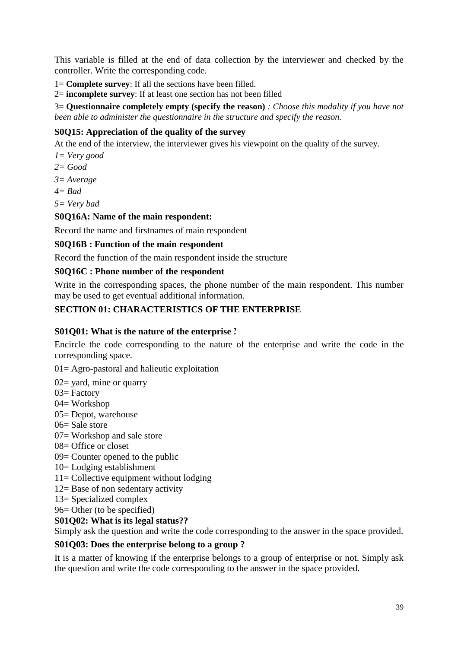This variable is filled at the end of data collection by the interviewer and checked by the controller. Write the corresponding code.

1= **Complete survey**: If all the sections have been filled.

2= **incomplete survey**: If at least one section has not been filled

3= **Questionnaire completely empty (specify the reason)** *: Choose this modality if you have not been able to administer the questionnaire in the structure and specify the reason.*

#### **S0Q15: Appreciation of the quality of the survey**

At the end of the interview, the interviewer gives his viewpoint on the quality of the survey.

- *1= Very good*
- *2= Good*
- *3= Average*
- *4= Bad*
- *5= Very bad*

#### **S0Q16A: Name of the main respondent:**

Record the name and firstnames of main respondent

#### **S0Q16B : Function of the main respondent**

Record the function of the main respondent inside the structure

#### **S0Q16C : Phone number of the respondent**

Write in the corresponding spaces, the phone number of the main respondent. This number may be used to get eventual additional information.

#### **SECTION 01: CHARACTERISTICS OF THE ENTERPRISE**

#### **S01Q01: What is the nature of the enterprise ?**

Encircle the code corresponding to the nature of the enterprise and write the code in the corresponding space.

 $01 =$  Agro-pastoral and halieutic exploitation

02= yard, mine or quarry

- 03= Factory
- $04=$  Workshop
- 05= Depot, warehouse
- 06= Sale store
- 07= Workshop and sale store
- 08= Office or closet
- 09= Counter opened to the public
- 10= Lodging establishment
- 11= Collective equipment without lodging
- 12= Base of non sedentary activity
- 13= Specialized complex
- 96= Other (to be specified)

#### **S01Q02: What is its legal status??**

Simply ask the question and write the code corresponding to the answer in the space provided.

#### **S01Q03: Does the enterprise belong to a group ?**

It is a matter of knowing if the enterprise belongs to a group of enterprise or not. Simply ask the question and write the code corresponding to the answer in the space provided.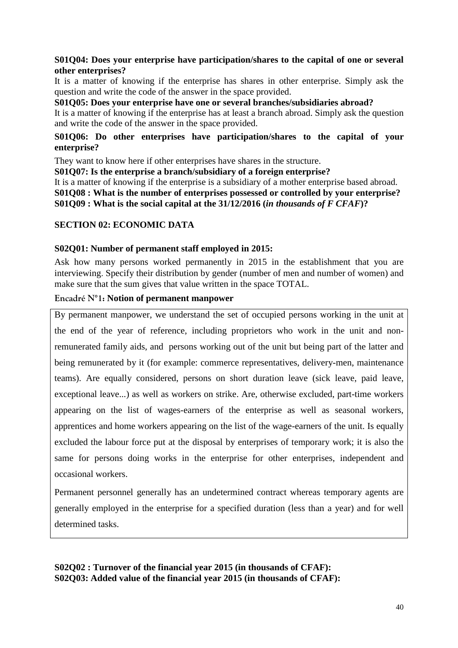#### **S01Q04: Does your enterprise have participation/shares to the capital of one or several other enterprises?**

It is a matter of knowing if the enterprise has shares in other enterprise. Simply ask the question and write the code of the answer in the space provided.

#### **S01Q05: Does your enterprise have one or several branches/subsidiaries abroad?**

It is a matter of knowing if the enterprise has at least a branch abroad. Simply ask the question and write the code of the answer in the space provided.

#### **S01Q06: Do other enterprises have participation/shares to the capital of your enterprise?**

They want to know here if other enterprises have shares in the structure.

**S01Q07: Is the enterprise a branch/subsidiary of a foreign enterprise?**

It is a matter of knowing if the enterprise is a subsidiary of a mother enterprise based abroad. **S01Q08 : What is the number of enterprises possessed or controlled by your enterprise? S01Q09 : What is the social capital at the 31/12/2016 (***in thousands of F CFAF***)?**

#### **SECTION 02: ECONOMIC DATA**

#### **S02Q01: Number of permanent staff employed in 2015:**

Ask how many persons worked permanently in 2015 in the establishment that you are interviewing. Specify their distribution by gender (number of men and number of women) and make sure that the sum gives that value written in the space TOTAL.

#### **Encadré N°1: Notion of permanent manpower**

By permanent manpower, we understand the set of occupied persons working in the unit at the end of the year of reference, including proprietors who work in the unit and nonremunerated family aids, and persons working out of the unit but being part of the latter and being remunerated by it (for example: commerce representatives, delivery-men, maintenance teams). Are equally considered, persons on short duration leave (sick leave, paid leave, exceptional leave...) as well as workers on strike. Are, otherwise excluded, part-time workers appearing on the list of wages-earners of the enterprise as well as seasonal workers, apprentices and home workers appearing on the list of the wage-earners of the unit. Is equally excluded the labour force put at the disposal by enterprises of temporary work; it is also the same for persons doing works in the enterprise for other enterprises, independent and occasional workers.

Permanent personnel generally has an undetermined contract whereas temporary agents are generally employed in the enterprise for a specified duration (less than a year) and for well determined tasks.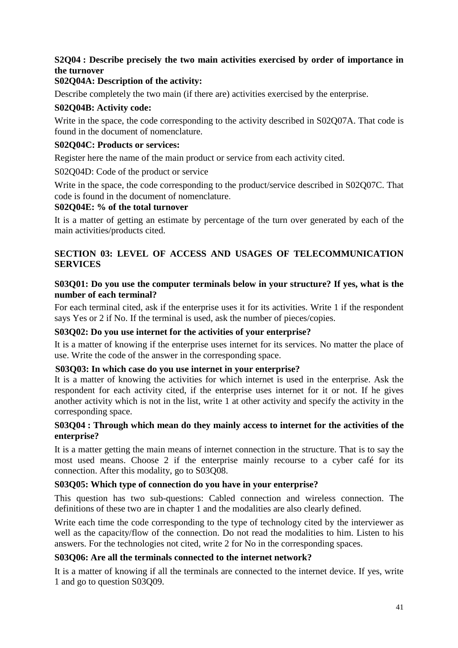### **S2Q04 : Describe precisely the two main activities exercised by order of importance in the turnover**

#### **S02Q04A: Description of the activity:**

Describe completely the two main (if there are) activities exercised by the enterprise.

#### **S02Q04B: Activity code:**

Write in the space, the code corresponding to the activity described in S02Q07A. That code is found in the document of nomenclature.

#### **S02Q04C: Products or services:**

Register here the name of the main product or service from each activity cited.

S02Q04D: Code of the product or service

Write in the space, the code corresponding to the product/service described in S02Q07C. That code is found in the document of nomenclature.

#### **S02Q04E: % of the total turnover**

It is a matter of getting an estimate by percentage of the turn over generated by each of the main activities/products cited.

#### **SECTION 03: LEVEL OF ACCESS AND USAGES OF TELECOMMUNICATION SERVICES**

#### **S03Q01: Do you use the computer terminals below in your structure? If yes, what is the number of each terminal?**

For each terminal cited, ask if the enterprise uses it for its activities. Write 1 if the respondent says Yes or 2 if No. If the terminal is used, ask the number of pieces/copies.

#### **S03Q02: Do you use internet for the activities of your enterprise?**

It is a matter of knowing if the enterprise uses internet for its services. No matter the place of use. Write the code of the answer in the corresponding space.

#### **S03Q03: In which case do you use internet in your enterprise?**

It is a matter of knowing the activities for which internet is used in the enterprise. Ask the respondent for each activity cited, if the enterprise uses internet for it or not. If he gives another activity which is not in the list, write 1 at other activity and specify the activity in the corresponding space.

#### **S03Q04 : Through which mean do they mainly access to internet for the activities of the enterprise?**

It is a matter getting the main means of internet connection in the structure. That is to say the most used means. Choose 2 if the enterprise mainly recourse to a cyber café for its connection. After this modality, go to S03Q08.

#### **S03Q05: Which type of connection do you have in your enterprise?**

This question has two sub-questions: Cabled connection and wireless connection. The definitions of these two are in chapter 1 and the modalities are also clearly defined.

Write each time the code corresponding to the type of technology cited by the interviewer as well as the capacity/flow of the connection. Do not read the modalities to him. Listen to his answers. For the technologies not cited, write 2 for No in the corresponding spaces.

#### **S03Q06: Are all the terminals connected to the internet network?**

It is a matter of knowing if all the terminals are connected to the internet device. If yes, write 1 and go to question S03Q09.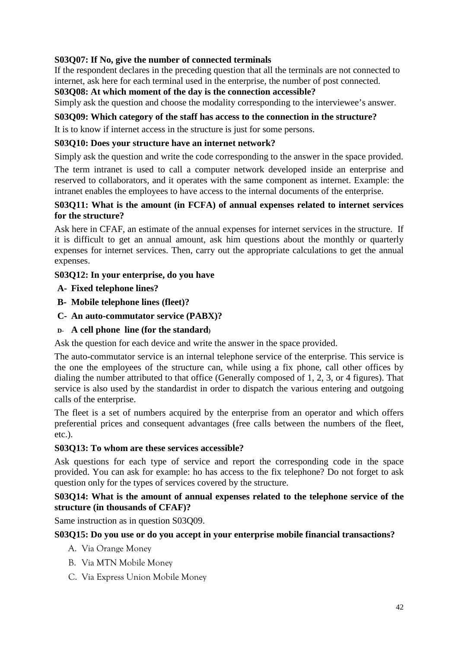#### **S03Q07: If No, give the number of connected terminals**

If the respondent declares in the preceding question that all the terminals are not connected to internet, ask here for each terminal used in the enterprise, the number of post connected. **S03Q08: At which moment of the day is the connection accessible?**

Simply ask the question and choose the modality corresponding to the interviewee's answer.

#### **S03Q09: Which category of the staff has access to the connection in the structure?**

It is to know if internet access in the structure is just for some persons.

#### **S03Q10: Does your structure have an internet network?**

Simply ask the question and write the code corresponding to the answer in the space provided.

The term intranet is used to call a computer network developed inside an enterprise and reserved to collaborators, and it operates with the same component as internet. Example: the intranet enables the employees to have access to the internal documents of the enterprise.

#### **S03Q11: What is the amount (in FCFA) of annual expenses related to internet services for the structure?**

Ask here in CFAF, an estimate of the annual expenses for internet services in the structure. If it is difficult to get an annual amount, ask him questions about the monthly or quarterly expenses for internet services. Then, carry out the appropriate calculations to get the annual expenses.

#### **S03Q12: In your enterprise, do you have**

- **A- Fixed telephone lines?**
- **B- Mobile telephone lines (fleet)?**
- **C- An auto-commutator service (PABX)?**
- **D- A cell phone line (for the standard)**

Ask the question for each device and write the answer in the space provided.

The auto-commutator service is an internal telephone service of the enterprise. This service is the one the employees of the structure can, while using a fix phone, call other offices by dialing the number attributed to that office (Generally composed of 1, 2, 3, or 4 figures). That service is also used by the standardist in order to dispatch the various entering and outgoing calls of the enterprise.

The fleet is a set of numbers acquired by the enterprise from an operator and which offers preferential prices and consequent advantages (free calls between the numbers of the fleet, etc.).

#### **S03Q13: To whom are these services accessible?**

Ask questions for each type of service and report the corresponding code in the space provided. You can ask for example: ho has access to the fix telephone? Do not forget to ask question only for the types of services covered by the structure.

#### **S03Q14: What is the amount of annual expenses related to the telephone service of the structure (in thousands of CFAF)?**

Same instruction as in question S03Q09.

#### **S03Q15: Do you use or do you accept in your enterprise mobile financial transactions?**

- A. Via Orange Money
- B. Via MTN Mobile Money
- C. Via Express Union Mobile Money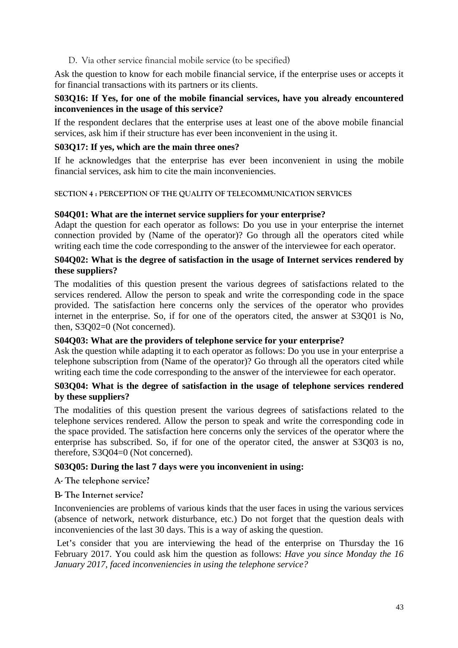#### <span id="page-42-0"></span>D. Via other service financial mobile service (to be specified)

Ask the question to know for each mobile financial service, if the enterprise uses or accepts it for financial transactions with its partners or its clients.

#### **S03Q16: If Yes, for one of the mobile financial services, have you already encountered inconveniences in the usage of this service?**

If the respondent declares that the enterprise uses at least one of the above mobile financial services, ask him if their structure has ever been inconvenient in the using it.

#### **S03Q17: If yes, which are the main three ones?**

If he acknowledges that the enterprise has ever been inconvenient in using the mobile financial services, ask him to cite the main inconveniencies.

#### **SECTION 4 : PERCEPTION OF THE QUALITY OF TELECOMMUNICATION SERVICES**

#### **S04Q01: What are the internet service suppliers for your enterprise?**

Adapt the question for each operator as follows: Do you use in your enterprise the internet connection provided by (Name of the operator)? Go through all the operators cited while writing each time the code corresponding to the answer of the interviewee for each operator.

#### **S04Q02: What is the degree of satisfaction in the usage of Internet services rendered by these suppliers?**

The modalities of this question present the various degrees of satisfactions related to the services rendered. Allow the person to speak and write the corresponding code in the space provided. The satisfaction here concerns only the services of the operator who provides internet in the enterprise. So, if for one of the operators cited, the answer at S3Q01 is No, then, S3Q02=0 (Not concerned).

#### **S04Q03: What are the providers of telephone service for your enterprise?**

Ask the question while adapting it to each operator as follows: Do you use in your enterprise a telephone subscription from (Name of the operator)? Go through all the operators cited while writing each time the code corresponding to the answer of the interviewee for each operator.

#### **S03Q04: What is the degree of satisfaction in the usage of telephone services rendered by these suppliers?**

The modalities of this question present the various degrees of satisfactions related to the telephone services rendered. Allow the person to speak and write the corresponding code in the space provided. The satisfaction here concerns only the services of the operator where the enterprise has subscribed. So, if for one of the operator cited, the answer at S3Q03 is no, therefore, S3Q04=0 (Not concerned).

#### **S03Q05: During the last 7 days were you inconvenient in using:**

**A- The telephone service?**

#### **B- The Internet service?**

Inconveniencies are problems of various kinds that the user faces in using the various services (absence of network, network disturbance, etc.) Do not forget that the question deals with inconveniencies of the last 30 days. This is a way of asking the question.

Let's consider that you are interviewing the head of the enterprise on Thursday the 16 February 2017. You could ask him the question as follows: *Have you since Monday the 16 January 2017, faced inconveniencies in using the telephone service?*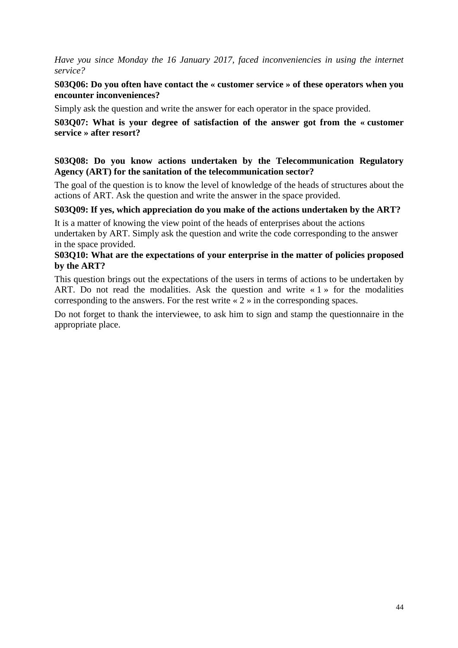*Have you since Monday the 16 January 2017, faced inconveniencies in using the internet service?*

#### **S03Q06: Do you often have contact the « customer service » of these operators when you encounter inconveniences?**

Simply ask the question and write the answer for each operator in the space provided.

#### **S03Q07: What is your degree of satisfaction of the answer got from the « customer service » after resort?**

#### **S03Q08: Do you know actions undertaken by the Telecommunication Regulatory Agency (ART) for the sanitation of the telecommunication sector?**

The goal of the question is to know the level of knowledge of the heads of structures about the actions of ART. Ask the question and write the answer in the space provided.

#### **S03Q09: If yes, which appreciation do you make of the actions undertaken by the ART?**

It is a matter of knowing the view point of the heads of enterprises about the actions undertaken by ART. Simply ask the question and write the code corresponding to the answer in the space provided.

#### **S03Q10: What are the expectations of your enterprise in the matter of policies proposed by the ART?**

This question brings out the expectations of the users in terms of actions to be undertaken by ART. Do not read the modalities. Ask the question and write  $\le 1$  » for the modalities corresponding to the answers. For the rest write « 2 » in the corresponding spaces.

Do not forget to thank the interviewee, to ask him to sign and stamp the questionnaire in the appropriate place.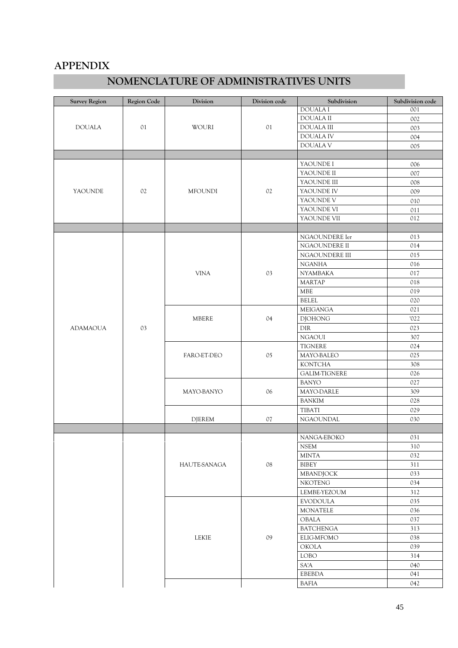### <span id="page-44-0"></span>**APPENDIX**

## **NOMENCLATURE OF ADMINISTRATIVES UNITS**

| <b>Survey Region</b> | Region Code    | Division            | Division code  | Subdivision                | Subdivision code |
|----------------------|----------------|---------------------|----------------|----------------------------|------------------|
|                      |                |                     |                | <b>DOUALAI</b>             | 001              |
|                      | O <sub>1</sub> |                     |                | <b>DOUALA II</b>           | 002              |
| <b>DOUALA</b>        |                | WOURI               | O <sub>1</sub> | <b>DOUALA III</b>          | 003              |
|                      |                |                     |                | DOUALA IV                  | 004              |
|                      |                |                     |                | DOUALA V                   | 005              |
|                      |                |                     |                |                            |                  |
|                      |                |                     |                | YAOUNDE I                  | 006              |
|                      |                |                     |                | YAOUNDE II                 | 007              |
|                      |                |                     |                | YAOUNDE III                | 008              |
| YAOUNDE              | 02             | <b>MFOUNDI</b>      | 02             | YAOUNDE IV                 | 009              |
|                      |                |                     |                | YAOUNDE V                  | 010              |
|                      |                |                     |                | YAOUNDE VI                 | 011              |
|                      |                |                     |                | YAOUNDE VII                | 012              |
|                      |                |                     |                |                            |                  |
|                      |                |                     |                | NGAOUNDERE Ier             | 013              |
|                      |                |                     |                | NGAOUNDERE II              | 014              |
|                      |                |                     |                | NGAOUNDERE III             | 015              |
|                      |                |                     |                | <b>NGANHA</b>              | 016              |
|                      |                | <b>VINA</b>         | 03             | <b>NYAMBAKA</b>            | 017              |
|                      |                |                     |                | <b>MARTAP</b>              | 018              |
|                      |                |                     |                | <b>MBE</b>                 | 019              |
|                      |                |                     |                | <b>BELEL</b>               | 020              |
|                      |                | <b>MBERE</b>        |                | <b>MEIGANGA</b>            | 021              |
|                      |                |                     | 04             | <b>DJOHONG</b>             | '022             |
| <b>ADAMAOUA</b>      | 03             |                     |                | ${\rm DIR}$                | 023              |
|                      |                |                     |                | <b>NGAOUI</b>              | 307              |
|                      |                |                     |                | <b>TIGNERE</b>             | 024              |
|                      |                | FARO-ET-DEO         | $05\,$         | MAYO-BALEO                 | 025              |
|                      |                |                     |                | <b>KONTCHA</b>             | 308              |
|                      |                |                     |                | GALIM-TIGNERE              | 026              |
|                      |                |                     |                | <b>BANYO</b>               | 027              |
|                      |                | MAYO-BANYO          | 06             | MAYO-DARLE                 | 309              |
|                      |                |                     |                | <b>BANKIM</b>              | 028              |
|                      |                |                     |                | <b>TIBATI</b>              | 029              |
|                      |                | <b>DJEREM</b>       | $07$           | NGAOUNDAL                  | 030              |
|                      |                |                     |                |                            |                  |
|                      |                |                     |                | NANGA-EBOKO<br><b>NSEM</b> | 031<br>310       |
|                      |                |                     |                | <b>MINTA</b>               | 032              |
|                      |                | <b>HAUTE-SANAGA</b> | $08\,$         | BIBEY                      | 311              |
|                      |                |                     |                | MBANDJOCK                  | 033              |
|                      |                |                     |                | <b>NKOTENG</b>             | 034              |
|                      |                |                     |                | LEMBE-YEZOUM               | 312              |
|                      |                |                     |                | <b>EVODOULA</b>            | 035              |
|                      |                |                     |                | <b>MONATELE</b>            | 036              |
|                      |                |                     |                | OBALA                      | 037              |
|                      |                |                     |                | <b>BATCHENGA</b>           | 313              |
|                      |                | <b>LEKIE</b>        | 09             | ELIG-MFOMO                 | 038              |
|                      |                |                     |                | <b>OKOLA</b>               | 039              |
|                      |                |                     |                | LOBO                       | 314              |
|                      |                |                     |                | SA'A                       | 040              |
|                      |                |                     |                | EBEBDA                     | 041              |
|                      |                |                     |                | <b>BAFIA</b>               | 042              |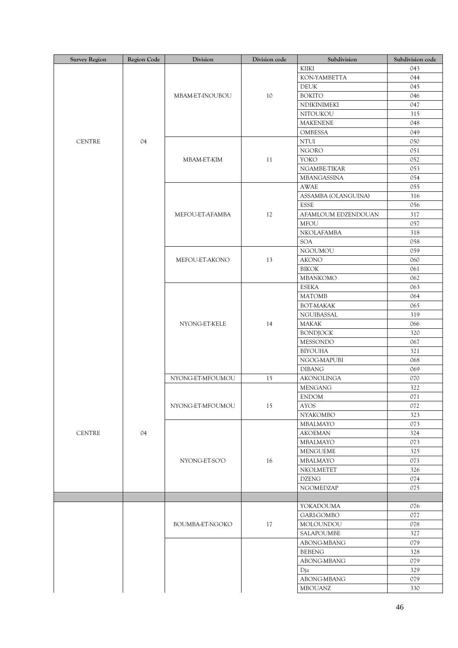| <b>Survey Region</b> | Region Code | Division         | Division code | Subdivision         | Subdivision code |
|----------------------|-------------|------------------|---------------|---------------------|------------------|
|                      |             |                  |               | KIIKI               | 043              |
|                      |             |                  |               | KON-YAMBETTA        | 044              |
|                      |             |                  |               | <b>DEUK</b>         | 045              |
|                      |             | MBAM-ET-INOUBOU  | 10            | <b>BOKITO</b>       | 046              |
|                      |             |                  |               | NDIKINIMEKI         | 047              |
|                      |             |                  |               | NITOUKOU            | 315              |
|                      |             |                  |               | <b>MAKENENE</b>     | 048              |
|                      |             |                  |               | OMBESSA             | 049              |
| <b>CENTRE</b>        | 04          |                  |               | $\rm NTUI$          | 050              |
|                      |             |                  |               | <b>NGORO</b>        | 051              |
|                      |             | MBAM-ET-KIM      | 11            | YOKO                | 052              |
|                      |             |                  |               | NGAMBE-TIKAR        | 053              |
|                      |             |                  |               |                     | 054              |
|                      |             |                  |               | MBANGASSINA         |                  |
|                      |             |                  |               | <b>AWAE</b>         | 055              |
|                      |             |                  |               | ASSAMBA (OLANGUINA) | 316              |
|                      |             |                  |               | <b>ESSE</b>         | 056              |
|                      |             | MEFOU-ET-AFAMBA  | 12            | AFAMLOUM EDZENDOUAN | 317              |
|                      |             |                  |               | <b>MFOU</b>         | 057              |
|                      |             |                  |               | NKOLAFAMBA          | 318              |
|                      |             |                  |               | <b>SOA</b>          | 058              |
|                      |             |                  |               | <b>NGOUMOU</b>      | 059              |
|                      |             | MEFOU-ET-AKONO   | 13            | <b>AKONO</b>        | 060              |
|                      |             |                  |               | <b>BIKOK</b>        | 061              |
|                      |             |                  |               | MBANKOMO            | 062              |
|                      |             |                  |               | <b>ESEKA</b>        | 063              |
|                      |             |                  |               | <b>MATOMB</b>       | 064              |
|                      |             |                  |               | <b>BOT-MAKAK</b>    | 065              |
|                      |             |                  |               | NGUIBASSAL          | 319              |
|                      |             | NYONG-ET-KELE    | 14            | MAKAK               | 066              |
|                      |             |                  |               | <b>BONDJOCK</b>     | 320              |
|                      |             |                  |               | <b>MESSONDO</b>     | 067              |
|                      |             |                  |               | <b>BIYOUHA</b>      | 321              |
|                      |             |                  |               | NGOG-MAPUBI         | 068              |
|                      |             |                  |               | <b>DIBANG</b>       | 069              |
|                      |             | NYONG-ET-MFOUMOU | 15            | AKONOLINGA          | 070              |
|                      |             |                  |               |                     | 322              |
|                      |             |                  |               | <b>MENGANG</b>      |                  |
|                      |             |                  |               | <b>ENDOM</b>        | 071              |
|                      |             | NYONG-ET-MFOUMOU | 15            | <b>AYOS</b>         | 072              |
|                      |             |                  |               | NYAKOMBO            | 323              |
|                      |             |                  |               | MBALMAYO            | 073              |
| <b>CENTRE</b>        | 04          |                  |               | <b>AKOEMAN</b>      | 324              |
|                      |             |                  |               | MBALMAYO            | 073              |
|                      |             |                  |               | <b>MENGUEME</b>     | 325              |
|                      |             | NYONG-ET-SO'O    | 16            | MBALMAYO            | 073              |
|                      |             |                  |               | NKOLMETET           | 326              |
|                      |             |                  |               | <b>DZENG</b>        | 074              |
|                      |             |                  |               | NGOMEDZAP           | 075              |
|                      |             |                  |               |                     |                  |
|                      |             |                  |               | YOKADOUMA           | 076              |
|                      |             |                  |               | <b>GARI-GOMBO</b>   | 077              |
|                      |             | BOUMBA-ET-NGOKO  | $17\,$        | MOLOUNDOU           | 078              |
|                      |             |                  |               | SALAPOUMBE          | 327              |
|                      |             |                  |               | ABONG-MBANG         | 079              |
|                      |             |                  |               | <b>BEBENG</b>       | 328              |
|                      |             |                  |               | ABONG-MBANG         | 079              |
|                      |             |                  |               | Dja                 | 329              |
|                      |             |                  |               | ABONG-MBANG         | 079              |
|                      |             |                  |               |                     |                  |
|                      |             |                  |               | MBOUANZ             | 330              |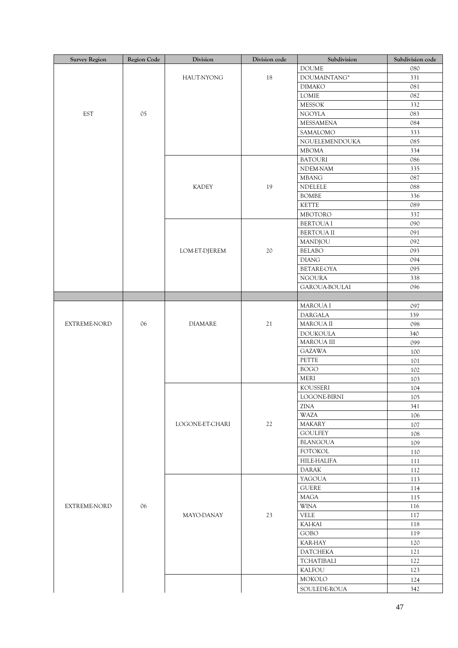| <b>Survey Region</b> | Region Code | Division               | Division code | Subdivision        | Subdivision code |
|----------------------|-------------|------------------------|---------------|--------------------|------------------|
|                      |             |                        |               | <b>DOUME</b>       | 080              |
|                      |             | HAUT-NYONG             | 18            | DOUMAINTANG*       | 331              |
|                      |             |                        |               | <b>DIMAKO</b>      | 081              |
|                      |             |                        |               | LOMIE              | 082              |
|                      |             |                        |               | <b>MESSOK</b>      | 332              |
| <b>EST</b>           | 05          |                        |               | <b>NGOYLA</b>      | 083              |
|                      |             |                        |               | MESSAMENA          | 084              |
|                      |             |                        |               | SAMALOMO           | 333              |
|                      |             |                        |               | NGUELEMENDOUKA     | 085              |
|                      |             |                        |               | <b>MBOMA</b>       | 334              |
|                      |             |                        |               | <b>BATOURI</b>     | 086              |
|                      |             |                        |               | NDEM-NAM           | 335              |
|                      |             |                        |               | <b>MBANG</b>       | 087              |
|                      |             | <b>KADEY</b>           | 19            | NDELELE            | 088              |
|                      |             |                        |               | <b>BOMBE</b>       | 336              |
|                      |             |                        |               | <b>KETTE</b>       | 089              |
|                      |             |                        |               | <b>MBOTORO</b>     | 337              |
|                      |             |                        |               | <b>BERTOUA I</b>   | 090              |
|                      |             |                        |               | <b>BERTOUA II</b>  | 091              |
|                      |             |                        |               | MANDJOU            | 092              |
|                      |             | LOM-ET-DJEREM          | $20\,$        | <b>BELABO</b>      | 093              |
|                      |             |                        |               | <b>DIANG</b>       | 094              |
|                      |             |                        |               | <b>BETAREOYA</b>   | 095              |
|                      |             |                        |               | <b>NGOURA</b>      | 338              |
|                      |             |                        |               | GAROUA-BOULAI      | 096              |
|                      |             |                        |               |                    |                  |
|                      |             |                        |               | MAROUA I           | 097              |
|                      |             |                        |               | DARGALA            | 339              |
| <b>EXTREME-NORD</b>  | 06          | <b>DIAMARE</b>         | $21\,$        | MAROUA II          | 098              |
|                      |             |                        |               | <b>DOUKOULA</b>    | 340              |
|                      |             |                        |               | MAROUA III         | 099              |
|                      |             |                        |               | <b>GAZAWA</b>      | 100              |
|                      |             |                        |               | PETTE              | 101              |
|                      |             |                        |               | <b>BOGO</b>        | 102              |
|                      |             |                        |               | <b>MERI</b>        | 103              |
|                      |             |                        |               | <b>KOUSSERI</b>    | 104              |
|                      |             |                        |               | LOGONE-BIRNI       | 105              |
|                      |             |                        |               | <b>ZINA</b>        | 341              |
|                      |             |                        |               | <b>WAZA</b>        | 106              |
|                      |             | <b>LOGONE-ET-CHARI</b> | $22\,$        | <b>MAKARY</b>      | 107              |
|                      |             |                        |               | <b>GOULFEY</b>     | 108              |
|                      |             |                        |               | <b>BLANGOUA</b>    | 109              |
|                      |             |                        |               | <b>FOTOKOL</b>     | 110              |
|                      |             |                        |               | <b>HILE-HALIFA</b> | 111              |
|                      |             |                        |               | <b>DARAK</b>       | 112              |
|                      |             |                        |               | YAGOUA             | 113              |
|                      |             |                        |               | <b>GUERE</b>       | 114              |
|                      |             |                        |               | <b>MAGA</b>        | 115              |
| <b>EXTREME-NORD</b>  | 06          |                        |               | <b>WINA</b>        | 116              |
|                      |             | MAYO-DANAY             | 23            | <b>VELE</b>        | 117              |
|                      |             |                        |               | <b>KAI-KAI</b>     | 118              |
|                      |             |                        |               | <b>GOBO</b>        | 119              |
|                      |             |                        |               | <b>KAR-HAY</b>     | 120              |
|                      |             |                        |               | <b>DATCHEKA</b>    | 121              |
|                      |             |                        |               | <b>TCHATIBALI</b>  | 122              |
|                      |             |                        |               | <b>KALFOU</b>      | 123              |
|                      |             |                        |               | MOKOLO             | 124              |
|                      |             |                        |               | SOULEDE-ROUA       | 342              |
|                      |             |                        |               |                    |                  |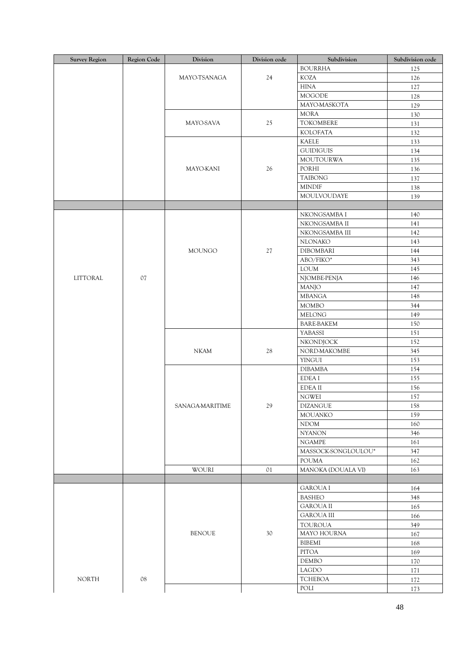| <b>Survey Region</b> | Region Code | Division        | Division code  | Subdivision         | Subdivision code |
|----------------------|-------------|-----------------|----------------|---------------------|------------------|
|                      |             |                 |                | <b>BOURRHA</b>      | 125              |
|                      |             | MAYO-TSANAGA    | 24             | <b>KOZA</b>         | 126              |
|                      |             |                 |                | <b>HINA</b>         | 127              |
|                      |             |                 |                | <b>MOGODE</b>       | 128              |
|                      |             |                 |                | MAYO-MASKOTA        | 129              |
|                      |             |                 |                | <b>MORA</b>         | 130              |
|                      |             | MAYO-SAVA       | 25             | TOKOMBERE           | 131              |
|                      |             |                 |                | KOLOFATA            | 132              |
|                      |             |                 |                | <b>KAELE</b>        | 133              |
|                      |             |                 |                | <b>GUIDIGUIS</b>    | 134              |
|                      |             |                 |                | <b>MOUTOURWA</b>    | 135              |
|                      |             | MAYO-KANI       | 26             | PORHI               | 136              |
|                      |             |                 |                | <b>TAIBONG</b>      | 137              |
|                      |             |                 |                | <b>MINDIF</b>       |                  |
|                      |             |                 |                |                     | 138              |
|                      |             |                 |                | MOULVOUDAYE         | 139              |
|                      |             |                 |                |                     |                  |
|                      |             |                 |                | NKONGSAMBA I        | 140              |
|                      |             |                 |                | NKONGSAMBA II       | 141              |
|                      |             |                 |                | NKONGSAMBA III      | 142              |
|                      |             |                 |                | NLONAKO             | 143              |
|                      |             | <b>MOUNGO</b>   | 27             | <b>DIBOMBARI</b>    | 144              |
|                      |             |                 |                | ABO/FIKO*           | 343              |
|                      |             |                 |                | <b>LOUM</b>         | 145              |
| LITTORAL             | $07$        |                 |                | NJOMBE-PENJA        | 146              |
|                      |             |                 |                | MANJO               | 147              |
|                      |             |                 |                | <b>MBANGA</b>       | 148              |
|                      |             |                 |                | <b>MOMBO</b>        | 344              |
|                      |             |                 |                | <b>MELONG</b>       | 149              |
|                      |             |                 |                | <b>BARE-BAKEM</b>   | 150              |
|                      |             |                 |                | <b>YABASSI</b>      | 151              |
|                      |             |                 |                | NKONDJOCK           | 152              |
|                      |             | $NKAM$          | 28             | NORD-MAKOMBE        | 345              |
|                      |             |                 |                | <b>YINGUI</b>       | 153              |
|                      |             |                 |                | <b>DIBAMBA</b>      | 154              |
|                      |             |                 |                | EDEA I              | 155              |
|                      |             |                 |                | <b>EDEAII</b>       | 156              |
|                      |             |                 |                | <b>NGWEI</b>        | 157              |
|                      |             | SANAGA-MARITIME | 29             | <b>DIZANGUE</b>     | 158              |
|                      |             |                 |                | MOUANKO             | 159              |
|                      |             |                 |                | <b>NDOM</b>         | 160              |
|                      |             |                 |                | <b>NYANON</b>       | 346              |
|                      |             |                 |                | <b>NGAMPE</b>       | 161              |
|                      |             |                 |                | MASSOCK-SONGLOULOU* | 347              |
|                      |             |                 |                | <b>POUMA</b>        | 162              |
|                      |             | WOURI           | O <sub>1</sub> | MANOKA (DOUALA VI)  | 163              |
|                      |             |                 |                |                     |                  |
|                      |             |                 |                | <b>GAROUA I</b>     |                  |
|                      |             |                 |                |                     | 164              |
|                      |             |                 |                | <b>BASHEO</b>       | 348              |
|                      |             |                 |                | <b>GAROUA II</b>    | 165              |
|                      |             |                 |                | <b>GAROUA III</b>   | 166              |
|                      |             |                 |                | <b>TOUROUA</b>      | 349              |
|                      |             | <b>BENOUE</b>   | 30             | MAYO HOURNA         | 167              |
|                      |             |                 |                | <b>BIBEMI</b>       | 168              |
|                      |             |                 |                | <b>PITOA</b>        | 169              |
|                      |             |                 |                | <b>DEMBO</b>        | 170              |
|                      |             |                 |                | LAGDO               | 171              |
| <b>NORTH</b>         | ${\bf 08}$  |                 |                | <b>TCHEBOA</b>      | 172              |
|                      |             |                 |                | POLI                | 173              |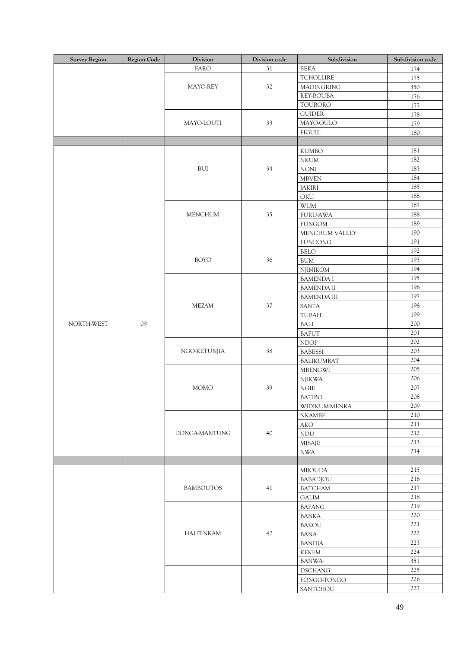| <b>Survey Region</b> | Region Code | Division         | Division code | Subdivision               | Subdivision code |
|----------------------|-------------|------------------|---------------|---------------------------|------------------|
|                      |             | <b>FARO</b>      | 31            | <b>BEKA</b>               | 174              |
|                      |             |                  |               | <b>TCHOLLIRE</b>          | 175              |
|                      |             | MAYO-REY         | 32            | <b>MADINGRING</b>         | 350              |
|                      |             |                  |               | REY-BOUBA                 | 176              |
|                      |             |                  |               | TOUBORO                   | 177              |
|                      |             |                  |               | <b>GUIDER</b>             | 178              |
|                      |             | MAYO-LOUTI       | 33            | MAYO-OULO                 | 179              |
|                      |             |                  |               | <b>FIGUIL</b>             | 180              |
|                      |             |                  |               |                           |                  |
|                      |             |                  |               | <b>KUMBO</b>              | 181              |
|                      |             | BUI              | 34            | <b>NKUM</b>               | 182              |
|                      |             |                  |               | <b>NONI</b>               | 183              |
|                      |             |                  |               | <b>MBVEN</b>              | 184              |
|                      |             |                  |               | <b>JAKIRI</b>             | 185              |
|                      |             |                  |               | OKU                       | 186              |
|                      |             |                  |               | <b>WUM</b>                | 187              |
|                      |             | <b>MENCHUM</b>   | 35            | <b>FURU-AWA</b>           | 188              |
|                      |             |                  |               | <b>FUNGOM</b>             | 189              |
|                      |             |                  |               | MENCHUM VALLEY            | 190              |
|                      |             |                  |               | <b>FUNDONG</b>            | 191              |
|                      |             |                  |               | <b>BELO</b>               | 192              |
|                      |             | <b>BOYO</b>      | 36            | <b>BUM</b>                | 193              |
|                      |             |                  |               | NJINIKOM                  | 194              |
|                      |             |                  |               | <b>BAMENDA I</b>          | 195              |
|                      |             |                  |               | <b>BAMENDA II</b>         | 196              |
|                      |             |                  |               | <b>BAMENDA III</b>        | 197              |
|                      |             | <b>MEZAM</b>     | 37            | <b>SANTA</b>              | 198              |
|                      |             |                  |               | TUBAH                     | 199              |
| NORTH-WEST           | 09          |                  |               | BALI                      | 200              |
|                      |             |                  |               | <b>BAFUT</b>              | 201              |
|                      |             |                  |               | <b>NDOP</b>               | 202              |
|                      |             | NGO-KETUNJIA     | 38            | <b>BABESSI</b>            | 203              |
|                      |             |                  |               | <b>BALIKUMBAT</b>         | 204              |
|                      |             |                  |               | <b>MBENGWI</b>            | 205              |
|                      |             |                  |               | <b>NJIKWA</b>             | 206              |
|                      |             | <b>MOMO</b>      | 39            | $\rm NGIE$                | 207              |
|                      |             |                  |               | <b>BATIBO</b>             | $208\,$          |
|                      |             |                  |               | WIDIKUM-MENKA             | 209              |
|                      |             |                  |               | <b>NKAMBE</b>             | 210              |
|                      |             | DONGA-MANTUNG    | 40            | AKO                       | 211              |
|                      |             |                  |               | <b>NDU</b>                | 212              |
|                      |             |                  |               | <b>MISAJE</b>             | 213              |
|                      |             |                  |               | $\ensuremath{\text{NWA}}$ | 214              |
|                      |             |                  |               |                           |                  |
|                      |             |                  |               | <b>MBOUDA</b>             | 215              |
|                      |             |                  |               | <b>BABADJOU</b>           | 216              |
|                      |             | <b>BAMBOUTOS</b> | 41            | <b>BATCHAM</b>            | 217              |
|                      |             |                  |               | GALIM                     | 218              |
|                      |             |                  |               | <b>BAFANG</b>             | 219              |
|                      |             |                  |               | BANKA                     | 220              |
|                      |             | <b>HAUT-NKAM</b> |               | <b>BAKOU</b>              | 221              |
|                      |             |                  | 42            | BANA                      | 222              |
|                      |             |                  |               | <b>BANDJA</b>             | 223              |
|                      |             |                  |               | KEKEM                     | 224              |
|                      |             |                  |               | <b>BANWA</b>              | 351              |
|                      |             |                  |               |                           | 225              |
|                      |             |                  |               | <b>DSCHANG</b>            | 226              |
|                      |             |                  |               | FONGO-TONGO               |                  |
|                      |             |                  |               | SANTCHOU                  | 227              |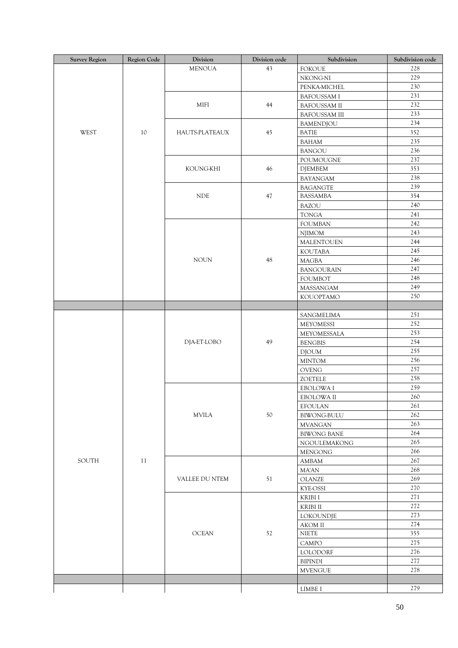| <b>Survey Region</b> | Region Code | Division                    | Division code | Subdivision          | Subdivision code |
|----------------------|-------------|-----------------------------|---------------|----------------------|------------------|
|                      |             | <b>MENOUA</b>               | 43            | <b>FOKOUE</b>        | 228              |
|                      |             |                             |               | NKONG-NI             | 229              |
|                      |             |                             |               | PENKA-MICHEL         | 230              |
|                      |             |                             |               | <b>BAFOUSSAM I</b>   | 231              |
|                      |             | MIFI                        | 44            | <b>BAFOUSSAM II</b>  | 232              |
|                      |             |                             |               | <b>BAFOUSSAM III</b> | 233              |
|                      |             |                             |               | BAMENDJOU            | 234              |
| WEST                 | 10          | HAUTS-PLATEAUX              | 45            | <b>BATIE</b>         | 352              |
|                      |             |                             |               | BAHAM                | 235              |
|                      |             |                             |               | <b>BANGOU</b>        | 236              |
|                      |             |                             |               | POUMOUGNE            | 237              |
|                      |             | KOUNG-KHI                   | 46            | <b>DJEMBEM</b>       | 353              |
|                      |             |                             |               | <b>BAYANGAM</b>      | 238              |
|                      |             |                             |               | <b>BAGANGTE</b>      | 239              |
|                      |             | $\ensuremath{\mathsf{NDE}}$ | 47            | <b>BASSAMBA</b>      | 354              |
|                      |             |                             |               | <b>BAZOU</b>         | 240              |
|                      |             |                             |               | <b>TONGA</b>         | 241              |
|                      |             |                             |               | <b>FOUMBAN</b>       | 242              |
|                      |             |                             |               | <b>NJIMOM</b>        | 243              |
|                      |             |                             |               | MALENTOUEN           | 244              |
|                      |             |                             |               | <b>KOUTABA</b>       | 245              |
|                      |             | <b>NOUN</b>                 | 48            | <b>MAGBA</b>         | 246              |
|                      |             |                             |               | <b>BANGOURAIN</b>    | 247              |
|                      |             |                             |               | <b>FOUMBOT</b>       | 248              |
|                      |             |                             |               | MASSANGAM            | 249              |
|                      |             |                             |               | <b>KOUOPTAMO</b>     | 250              |
|                      |             |                             |               |                      |                  |
|                      |             |                             |               | SANGMELIMA           | 251              |
|                      |             |                             |               | <b>MEYOMESSI</b>     | 252              |
|                      |             |                             | 49            | MEYOMESSALA          | 253              |
|                      |             | DJA-ET-LOBO                 |               | <b>BENGBIS</b>       | 254              |
|                      |             |                             |               | <b>DJOUM</b>         | 255              |
|                      |             |                             |               | <b>MINTOM</b>        | 256              |
|                      |             |                             |               | OVENG                | 257              |
|                      |             |                             |               | <b>ZOETELE</b>       | 258              |
|                      |             |                             |               | EBOLOWA I            | 259              |
|                      |             |                             |               | EBOLOWA II           | 260              |
|                      |             | <b>MVILA</b>                | 50            | <b>EFOULAN</b>       | 261              |
|                      |             |                             |               | <b>BIWONG-BULU</b>   | 262              |
|                      |             |                             |               | <b>MVANGAN</b>       | 263              |
|                      | 11          |                             |               | <b>BIWONG BANE</b>   | 264              |
|                      |             |                             |               |                      | 265              |
| SOUTH                |             |                             |               | NGOULEMAKONG         | 266              |
|                      |             |                             |               | <b>MENGONG</b>       | 267              |
|                      |             | VALLEE DU NTEM              | $51\,$        | AMBAM                | 268              |
|                      |             |                             |               | MA'AN                | 269              |
|                      |             |                             |               | <b>OLANZE</b>        | 270              |
|                      |             |                             |               | <b>KYE-OSSI</b>      |                  |
|                      |             | OCEAN                       | 52            | KRIBI I              | 271              |
|                      |             |                             |               | KRIBI II             | 272              |
|                      |             |                             |               | LOKOUNDJE            | 273              |
|                      |             |                             |               | AKOM II              | 274              |
|                      |             |                             |               | <b>NIETE</b>         | 355              |
|                      |             |                             |               | CAMPO                | 275              |
|                      |             |                             |               | LOLODORF             | 276              |
|                      |             |                             |               | <b>BIPINDI</b>       | 277              |
|                      |             |                             |               | <b>MVENGUE</b>       | 278              |
|                      |             |                             |               |                      |                  |
|                      |             |                             |               | LIMBE I              | 279              |